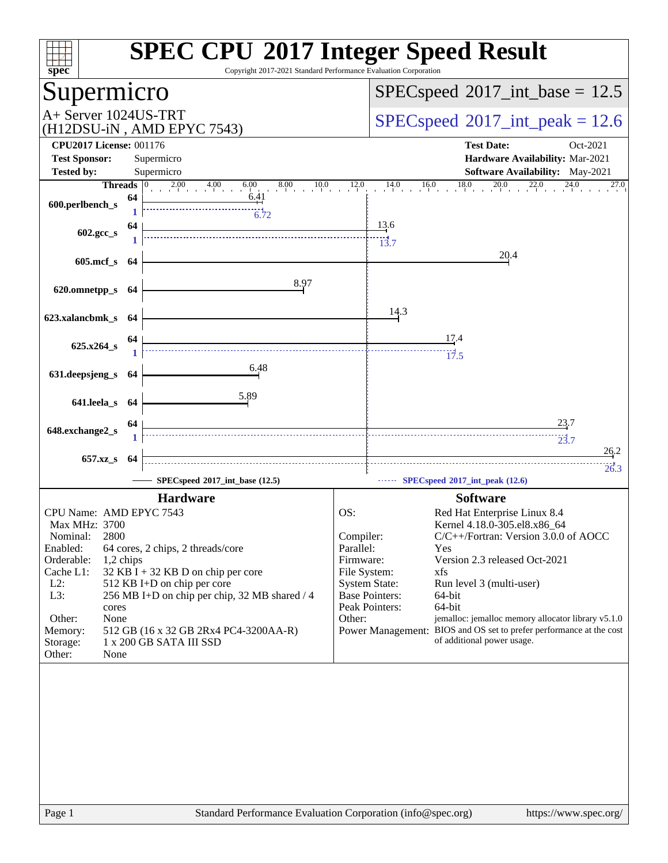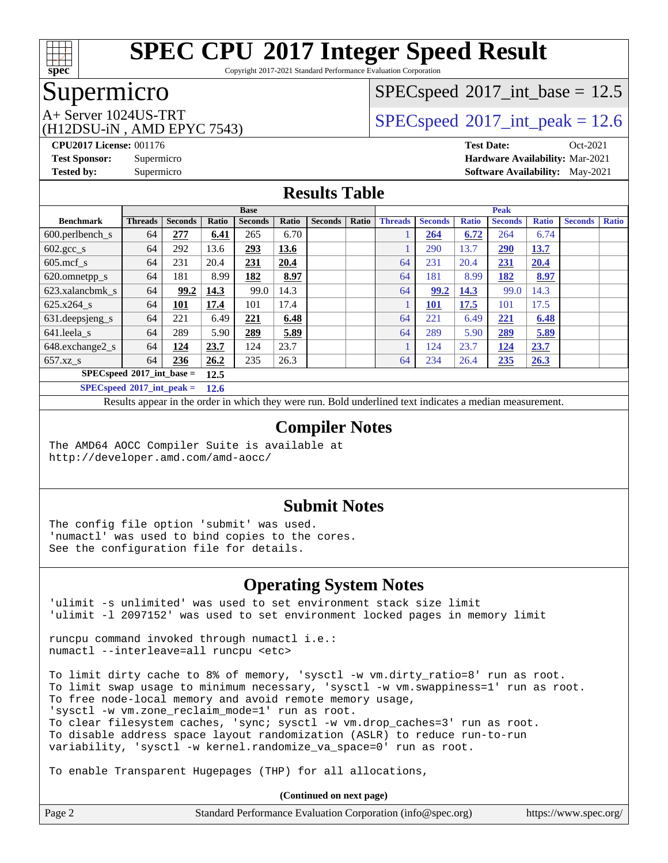

Copyright 2017-2021 Standard Performance Evaluation Corporation

## Supermicro

# $SPECspeed^{\circledcirc}2017\_int\_base = 12.5$  $SPECspeed^{\circledcirc}2017\_int\_base = 12.5$

(H12DSU-iN , AMD EPYC 7543)

A+ Server 1024US-TRT  $SPEC speed@2017$ \_int\_peak = 12.6

**[CPU2017 License:](http://www.spec.org/auto/cpu2017/Docs/result-fields.html#CPU2017License)** 001176 **[Test Date:](http://www.spec.org/auto/cpu2017/Docs/result-fields.html#TestDate)** Oct-2021 **[Test Sponsor:](http://www.spec.org/auto/cpu2017/Docs/result-fields.html#TestSponsor)** Supermicro **[Hardware Availability:](http://www.spec.org/auto/cpu2017/Docs/result-fields.html#HardwareAvailability)** Mar-2021 **[Tested by:](http://www.spec.org/auto/cpu2017/Docs/result-fields.html#Testedby)** Supermicro **[Software Availability:](http://www.spec.org/auto/cpu2017/Docs/result-fields.html#SoftwareAvailability)** May-2021

### **[Results Table](http://www.spec.org/auto/cpu2017/Docs/result-fields.html#ResultsTable)**

|                                       | <b>Base</b>    |                |       |                |              |                |       | <b>Peak</b>    |                |              |                |              |                |              |
|---------------------------------------|----------------|----------------|-------|----------------|--------------|----------------|-------|----------------|----------------|--------------|----------------|--------------|----------------|--------------|
| <b>Benchmark</b>                      | <b>Threads</b> | <b>Seconds</b> | Ratio | <b>Seconds</b> | <b>Ratio</b> | <b>Seconds</b> | Ratio | <b>Threads</b> | <b>Seconds</b> | <b>Ratio</b> | <b>Seconds</b> | <b>Ratio</b> | <b>Seconds</b> | <b>Ratio</b> |
| $600.$ perlbench_s                    | 64             | 277            | 6.41  | 265            | 6.70         |                |       |                | 264            | 6.72         | 264            | 6.74         |                |              |
| $602.\text{gcc}\s$                    | 64             | 292            | 13.6  | 293            | 13.6         |                |       |                | 290            | 13.7         | 290            | 13.7         |                |              |
| $605$ .mcf s                          | 64             | 231            | 20.4  | 231            | 20.4         |                |       | 64             | 231            | 20.4         | 231            | 20.4         |                |              |
| 620.omnetpp_s                         | 64             | 181            | 8.99  | 182            | 8.97         |                |       | 64             | 181            | 8.99         | 182            | 8.97         |                |              |
| 623.xalancbmk s                       | 64             | 99.2           | 14.3  | 99.0           | 14.3         |                |       | 64             | 99.2           | 14.3         | 99.0           | 14.3         |                |              |
| 625.x264 s                            | 64             | 101            | 17.4  | 101            | 17.4         |                |       |                | 101            | 17.5         | 101            | 17.5         |                |              |
| $631.$ deepsjeng $s$                  | 64             | 221            | 6.49  | 221            | 6.48         |                |       | 64             | 221            | 6.49         | 221            | 6.48         |                |              |
| 641.leela s                           | 64             | 289            | 5.90  | 289            | 5.89         |                |       | 64             | 289            | 5.90         | 289            | 5.89         |                |              |
| 648.exchange2_s                       | 64             | <u>124</u>     | 23.7  | 124            | 23.7         |                |       |                | 124            | 23.7         | <u>124</u>     | 23.7         |                |              |
| $657.xz$ <sub>S</sub>                 | 64             | 236            | 26.2  | 235            | 26.3         |                |       | 64             | 234            | 26.4         | 235            | 26.3         |                |              |
| $SPECspeed*2017$ _int_base =          |                |                | 12.5  |                |              |                |       |                |                |              |                |              |                |              |
| $SPEC speed^{\circ}2017\_int\_peak =$ |                |                | 12.6  |                |              |                |       |                |                |              |                |              |                |              |

Results appear in the [order in which they were run.](http://www.spec.org/auto/cpu2017/Docs/result-fields.html#RunOrder) Bold underlined text [indicates a median measurement.](http://www.spec.org/auto/cpu2017/Docs/result-fields.html#Median)

#### **[Compiler Notes](http://www.spec.org/auto/cpu2017/Docs/result-fields.html#CompilerNotes)**

The AMD64 AOCC Compiler Suite is available at <http://developer.amd.com/amd-aocc/>

#### **[Submit Notes](http://www.spec.org/auto/cpu2017/Docs/result-fields.html#SubmitNotes)**

The config file option 'submit' was used. 'numactl' was used to bind copies to the cores. See the configuration file for details.

#### **[Operating System Notes](http://www.spec.org/auto/cpu2017/Docs/result-fields.html#OperatingSystemNotes)**

'ulimit -s unlimited' was used to set environment stack size limit 'ulimit -l 2097152' was used to set environment locked pages in memory limit

runcpu command invoked through numactl i.e.: numactl --interleave=all runcpu <etc>

To limit dirty cache to 8% of memory, 'sysctl -w vm.dirty\_ratio=8' run as root. To limit swap usage to minimum necessary, 'sysctl -w vm.swappiness=1' run as root. To free node-local memory and avoid remote memory usage, 'sysctl -w vm.zone\_reclaim\_mode=1' run as root. To clear filesystem caches, 'sync; sysctl -w vm.drop\_caches=3' run as root. To disable address space layout randomization (ASLR) to reduce run-to-run variability, 'sysctl -w kernel.randomize\_va\_space=0' run as root.

To enable Transparent Hugepages (THP) for all allocations,

| Page 2 | Standard Performance Evaluation Corporation (info@spec.org) | https://www.spec.org/ |
|--------|-------------------------------------------------------------|-----------------------|
|        |                                                             |                       |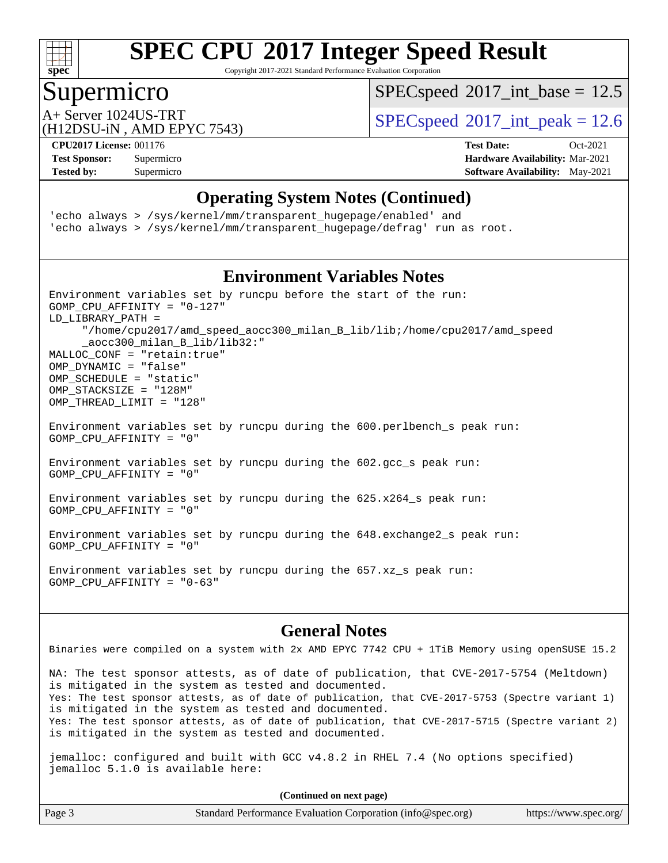

Copyright 2017-2021 Standard Performance Evaluation Corporation

# Supermicro

 $SPECspeed^{\circledcirc}2017\_int\_base = 12.5$  $SPECspeed^{\circledcirc}2017\_int\_base = 12.5$ 

(H12DSU-iN , AMD EPYC 7543)

A+ Server 1024US-TRT  $SPEC speed@2017$ \_int\_peak = 12.6

**[Tested by:](http://www.spec.org/auto/cpu2017/Docs/result-fields.html#Testedby)** Supermicro Supermicro **Supermicro [Software Availability:](http://www.spec.org/auto/cpu2017/Docs/result-fields.html#SoftwareAvailability)** May-2021

**[CPU2017 License:](http://www.spec.org/auto/cpu2017/Docs/result-fields.html#CPU2017License)** 001176 **[Test Date:](http://www.spec.org/auto/cpu2017/Docs/result-fields.html#TestDate)** Oct-2021 **[Test Sponsor:](http://www.spec.org/auto/cpu2017/Docs/result-fields.html#TestSponsor)** Supermicro **[Hardware Availability:](http://www.spec.org/auto/cpu2017/Docs/result-fields.html#HardwareAvailability)** Mar-2021

#### **[Operating System Notes \(Continued\)](http://www.spec.org/auto/cpu2017/Docs/result-fields.html#OperatingSystemNotes)**

'echo always > /sys/kernel/mm/transparent\_hugepage/enabled' and 'echo always > /sys/kernel/mm/transparent\_hugepage/defrag' run as root.

### **[Environment Variables Notes](http://www.spec.org/auto/cpu2017/Docs/result-fields.html#EnvironmentVariablesNotes)**

Environment variables set by runcpu before the start of the run: GOMP\_CPU\_AFFINITY = "0-127" LD\_LIBRARY\_PATH = "/home/cpu2017/amd\_speed\_aocc300\_milan\_B\_lib/lib;/home/cpu2017/amd\_speed \_aocc300\_milan\_B\_lib/lib32:" MALLOC\_CONF = "retain:true" OMP\_DYNAMIC = "false" OMP\_SCHEDULE = "static" OMP\_STACKSIZE = "128M" OMP THREAD LIMIT = "128"

Environment variables set by runcpu during the 600.perlbench\_s peak run: GOMP\_CPU\_AFFINITY = "0"

Environment variables set by runcpu during the 602.gcc\_s peak run: GOMP\_CPU\_AFFINITY = "0"

Environment variables set by runcpu during the 625.x264\_s peak run: GOMP\_CPU\_AFFINITY = "0"

Environment variables set by runcpu during the 648.exchange2\_s peak run: GOMP\_CPU\_AFFINITY = "0"

Environment variables set by runcpu during the 657.xz\_s peak run: GOMP CPU AFFINITY =  $"0-63"$ 

#### **[General Notes](http://www.spec.org/auto/cpu2017/Docs/result-fields.html#GeneralNotes)**

Binaries were compiled on a system with 2x AMD EPYC 7742 CPU + 1TiB Memory using openSUSE 15.2

NA: The test sponsor attests, as of date of publication, that CVE-2017-5754 (Meltdown) is mitigated in the system as tested and documented. Yes: The test sponsor attests, as of date of publication, that CVE-2017-5753 (Spectre variant 1) is mitigated in the system as tested and documented. Yes: The test sponsor attests, as of date of publication, that CVE-2017-5715 (Spectre variant 2) is mitigated in the system as tested and documented.

jemalloc: configured and built with GCC v4.8.2 in RHEL 7.4 (No options specified) jemalloc 5.1.0 is available here:

| Page 3 | Standard Performance Evaluation Corporation (info@spec.org) | https://www.spec.org/ |
|--------|-------------------------------------------------------------|-----------------------|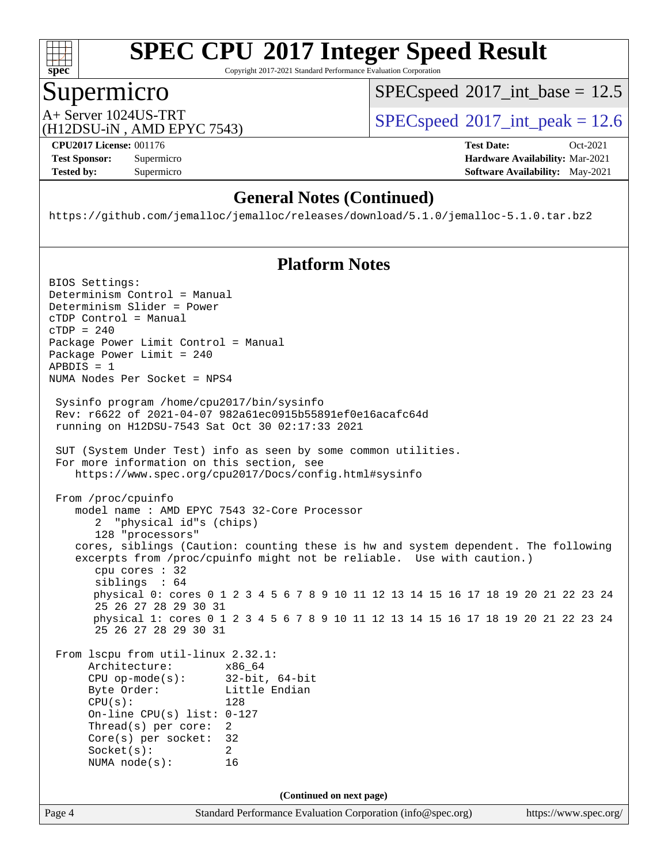

Copyright 2017-2021 Standard Performance Evaluation Corporation

### Supermicro

 $SPECspeed^{\circledcirc}2017\_int\_base = 12.5$  $SPECspeed^{\circledcirc}2017\_int\_base = 12.5$ 

A+ Server 1024US-TRT  $SPEC speed@2017$ \_int\_peak = 12.6

(H12DSU-iN , AMD EPYC 7543)

**[Tested by:](http://www.spec.org/auto/cpu2017/Docs/result-fields.html#Testedby)** Supermicro **[Software Availability:](http://www.spec.org/auto/cpu2017/Docs/result-fields.html#SoftwareAvailability)** May-2021

**[CPU2017 License:](http://www.spec.org/auto/cpu2017/Docs/result-fields.html#CPU2017License)** 001176 **[Test Date:](http://www.spec.org/auto/cpu2017/Docs/result-fields.html#TestDate)** Oct-2021 **[Test Sponsor:](http://www.spec.org/auto/cpu2017/Docs/result-fields.html#TestSponsor)** Supermicro **[Hardware Availability:](http://www.spec.org/auto/cpu2017/Docs/result-fields.html#HardwareAvailability)** Mar-2021

### **[General Notes \(Continued\)](http://www.spec.org/auto/cpu2017/Docs/result-fields.html#GeneralNotes)**

<https://github.com/jemalloc/jemalloc/releases/download/5.1.0/jemalloc-5.1.0.tar.bz2>

#### **[Platform Notes](http://www.spec.org/auto/cpu2017/Docs/result-fields.html#PlatformNotes)**

Page 4 Standard Performance Evaluation Corporation [\(info@spec.org\)](mailto:info@spec.org) <https://www.spec.org/> BIOS Settings: Determinism Control = Manual Determinism Slider = Power cTDP Control = Manual cTDP = 240 Package Power Limit Control = Manual Package Power Limit = 240  $APBDIS = 1$ NUMA Nodes Per Socket = NPS4 Sysinfo program /home/cpu2017/bin/sysinfo Rev: r6622 of 2021-04-07 982a61ec0915b55891ef0e16acafc64d running on H12DSU-7543 Sat Oct 30 02:17:33 2021 SUT (System Under Test) info as seen by some common utilities. For more information on this section, see <https://www.spec.org/cpu2017/Docs/config.html#sysinfo> From /proc/cpuinfo model name : AMD EPYC 7543 32-Core Processor 2 "physical id"s (chips) 128 "processors" cores, siblings (Caution: counting these is hw and system dependent. The following excerpts from /proc/cpuinfo might not be reliable. Use with caution.) cpu cores : 32 siblings : 64 physical 0: cores 0 1 2 3 4 5 6 7 8 9 10 11 12 13 14 15 16 17 18 19 20 21 22 23 24 25 26 27 28 29 30 31 physical 1: cores 0 1 2 3 4 5 6 7 8 9 10 11 12 13 14 15 16 17 18 19 20 21 22 23 24 25 26 27 28 29 30 31 From lscpu from util-linux 2.32.1: Architecture: x86\_64 CPU op-mode(s): 32-bit, 64-bit Little Endian CPU(s): 128 On-line CPU(s) list: 0-127 Thread(s) per core: 2 Core(s) per socket: 32 Socket(s): 2 NUMA node(s): 16 **(Continued on next page)**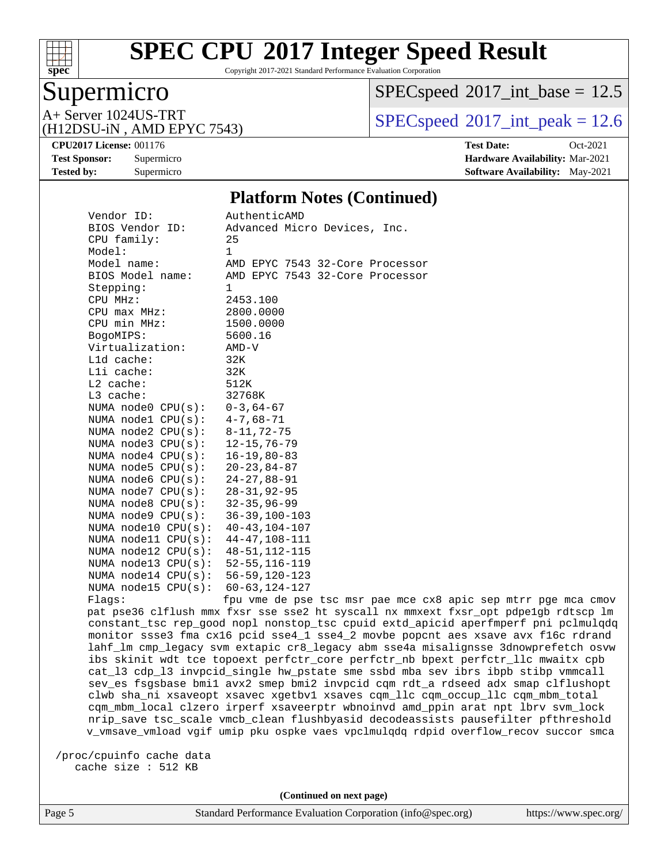

Copyright 2017-2021 Standard Performance Evaluation Corporation

# Supermicro

 $SPECspeed^{\circledcirc}2017\_int\_base = 12.5$  $SPECspeed^{\circledcirc}2017\_int\_base = 12.5$ 

(H12DSU-iN , AMD EPYC 7543)

A+ Server 1024US-TRT  $SPEC speed@2017$ \_int\_peak = 12.6

**[Tested by:](http://www.spec.org/auto/cpu2017/Docs/result-fields.html#Testedby)** Supermicro **[Software Availability:](http://www.spec.org/auto/cpu2017/Docs/result-fields.html#SoftwareAvailability)** May-2021

**[CPU2017 License:](http://www.spec.org/auto/cpu2017/Docs/result-fields.html#CPU2017License)** 001176 **[Test Date:](http://www.spec.org/auto/cpu2017/Docs/result-fields.html#TestDate)** Oct-2021 **[Test Sponsor:](http://www.spec.org/auto/cpu2017/Docs/result-fields.html#TestSponsor)** Supermicro **[Hardware Availability:](http://www.spec.org/auto/cpu2017/Docs/result-fields.html#HardwareAvailability)** Mar-2021

#### **[Platform Notes \(Continued\)](http://www.spec.org/auto/cpu2017/Docs/result-fields.html#PlatformNotes)**

| Vendor ID:<br>BIOS Vendor ID:<br>CPU family: | AuthenticAMD<br>Advanced Micro Devices, Inc.<br>25                                          |
|----------------------------------------------|---------------------------------------------------------------------------------------------|
| Model:                                       | $\mathbf{1}$                                                                                |
| Model name:                                  | AMD EPYC 7543 32-Core Processor                                                             |
| BIOS Model name:                             | AMD EPYC 7543 32-Core Processor                                                             |
| Stepping:                                    | 1                                                                                           |
| CPU MHz:                                     | 2453.100                                                                                    |
| $CPU$ $max$ $MHz$ :                          | 2800.0000                                                                                   |
| CPU min MHz:                                 | 1500.0000                                                                                   |
| BogoMIPS:                                    | 5600.16                                                                                     |
| Virtualization:                              | AMD-V                                                                                       |
| L1d cache:                                   | 32K                                                                                         |
| $L1i$ cache:                                 | 32K                                                                                         |
| $L2$ cache:                                  | 512K                                                                                        |
| $L3$ cache:                                  | 32768K                                                                                      |
| NUMA node0 $CPU(s): 0-3, 64-67$              |                                                                                             |
| NUMA node1 $CPU(s):$ 4-7,68-71               |                                                                                             |
| NUMA node2 $CPU(s): 8-11, 72-75$             |                                                                                             |
| NUMA node3 CPU(s): 12-15,76-79               |                                                                                             |
| NUMA node4 CPU(s): 16-19,80-83               |                                                                                             |
| NUMA node5 CPU(s): 20-23,84-87               |                                                                                             |
| NUMA node6 CPU(s): 24-27,88-91               |                                                                                             |
| NUMA node7 CPU(s): 28-31,92-95               |                                                                                             |
| NUMA node8 CPU(s): 32-35,96-99               |                                                                                             |
| NUMA node9 CPU(s): 36-39,100-103             |                                                                                             |
| NUMA node10 CPU(s): 40-43,104-107            |                                                                                             |
| NUMA node11 CPU(s): 44-47,108-111            |                                                                                             |
| NUMA node12 CPU(s): 48-51, 112-115           |                                                                                             |
| NUMA node13 CPU(s): 52-55,116-119            |                                                                                             |
| NUMA node14 CPU(s): 56-59,120-123            |                                                                                             |
| NUMA node15 CPU(s): 60-63,124-127            |                                                                                             |
| Flaqs:                                       | fpu vme de pse tsc msr pae mce c<br>not pso?6 alflugh mmy fysix sso sso? ht syssall py mmyo |
|                                              |                                                                                             |

cx8 apic sep mtrr pge mca cmov pat pse36 clflush mmx fxsr sse sse2 ht syscall nx mmxext fxsr\_opt pdpe1gb rdtscp lm constant\_tsc rep\_good nopl nonstop\_tsc cpuid extd\_apicid aperfmperf pni pclmulqdq monitor ssse3 fma cx16 pcid sse4\_1 sse4\_2 movbe popcnt aes xsave avx f16c rdrand lahf\_lm cmp\_legacy svm extapic cr8\_legacy abm sse4a misalignsse 3dnowprefetch osvw ibs skinit wdt tce topoext perfctr\_core perfctr\_nb bpext perfctr\_llc mwaitx cpb cat\_l3 cdp\_l3 invpcid\_single hw\_pstate sme ssbd mba sev ibrs ibpb stibp vmmcall sev\_es fsgsbase bmi1 avx2 smep bmi2 invpcid cqm rdt\_a rdseed adx smap clflushopt clwb sha\_ni xsaveopt xsavec xgetbv1 xsaves cqm\_llc cqm\_occup\_llc cqm\_mbm\_total cqm\_mbm\_local clzero irperf xsaveerptr wbnoinvd amd\_ppin arat npt lbrv svm\_lock nrip\_save tsc\_scale vmcb\_clean flushbyasid decodeassists pausefilter pfthreshold v\_vmsave\_vmload vgif umip pku ospke vaes vpclmulqdq rdpid overflow\_recov succor smca

 /proc/cpuinfo cache data cache size : 512 KB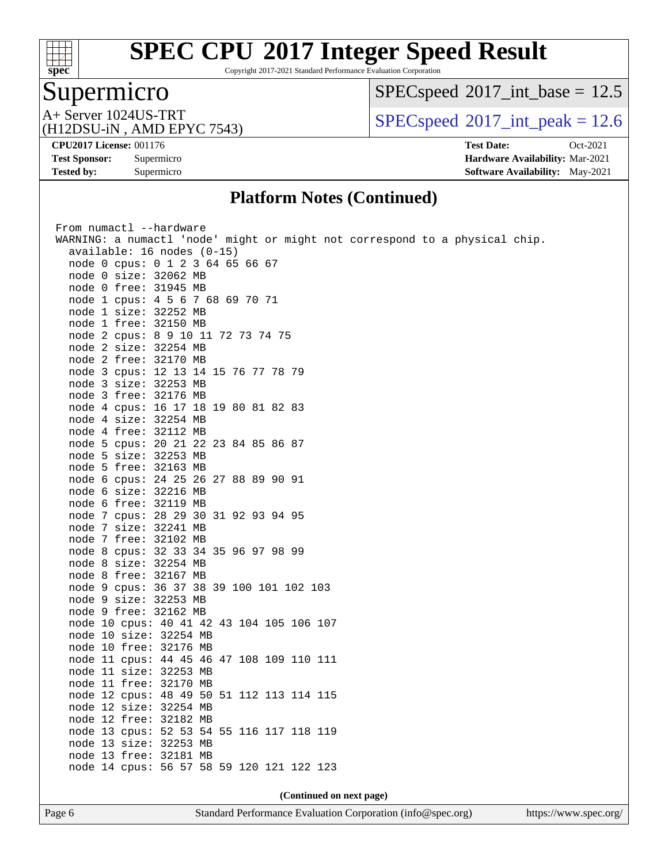

Copyright 2017-2021 Standard Performance Evaluation Corporation

# Supermicro

 $SPEC speed$ <sup>®</sup>[2017\\_int\\_base =](http://www.spec.org/auto/cpu2017/Docs/result-fields.html#SPECspeed2017intbase) 12.5

A+ Server 1024US-TRT<br>(H12DSU-iN, AMD EPYC 7543)

 $SPEC speed^{\circ}2017\_int\_peak = 12.6$ 

**[Tested by:](http://www.spec.org/auto/cpu2017/Docs/result-fields.html#Testedby)** Supermicro **[Software Availability:](http://www.spec.org/auto/cpu2017/Docs/result-fields.html#SoftwareAvailability)** May-2021

**[CPU2017 License:](http://www.spec.org/auto/cpu2017/Docs/result-fields.html#CPU2017License)** 001176 **[Test Date:](http://www.spec.org/auto/cpu2017/Docs/result-fields.html#TestDate)** Oct-2021 **[Test Sponsor:](http://www.spec.org/auto/cpu2017/Docs/result-fields.html#TestSponsor)** Supermicro **[Hardware Availability:](http://www.spec.org/auto/cpu2017/Docs/result-fields.html#HardwareAvailability)** Mar-2021

#### **[Platform Notes \(Continued\)](http://www.spec.org/auto/cpu2017/Docs/result-fields.html#PlatformNotes)**

| From numactl --hardware                                                     |  |  |  |  |  |  |  |
|-----------------------------------------------------------------------------|--|--|--|--|--|--|--|
| WARNING: a numactl 'node' might or might not correspond to a physical chip. |  |  |  |  |  |  |  |
| available: 16 nodes (0-15)                                                  |  |  |  |  |  |  |  |
| node 0 cpus: 0 1 2 3 64 65 66 67                                            |  |  |  |  |  |  |  |
| node 0 size: 32062 MB                                                       |  |  |  |  |  |  |  |
| node 0 free: 31945 MB                                                       |  |  |  |  |  |  |  |
| node 1 cpus: 4 5 6 7 68 69 70 71                                            |  |  |  |  |  |  |  |
| node 1 size: 32252 MB                                                       |  |  |  |  |  |  |  |
| node 1 free: 32150 MB                                                       |  |  |  |  |  |  |  |
| node 2 cpus: 8 9 10 11 72 73 74 75                                          |  |  |  |  |  |  |  |
| node 2 size: 32254 MB                                                       |  |  |  |  |  |  |  |
| node 2 free: 32170 MB                                                       |  |  |  |  |  |  |  |
| node 3 cpus: 12 13 14 15 76 77 78 79                                        |  |  |  |  |  |  |  |
| node 3 size: 32253 MB                                                       |  |  |  |  |  |  |  |
| node 3 free: 32176 MB                                                       |  |  |  |  |  |  |  |
| node 4 cpus: 16 17 18 19 80 81 82 83                                        |  |  |  |  |  |  |  |
| node 4 size: 32254 MB                                                       |  |  |  |  |  |  |  |
| node 4 free: 32112 MB                                                       |  |  |  |  |  |  |  |
| node 5 cpus: 20 21 22 23 84 85 86 87                                        |  |  |  |  |  |  |  |
| node 5 size: 32253 MB                                                       |  |  |  |  |  |  |  |
| node 5 free: 32163 MB                                                       |  |  |  |  |  |  |  |
| node 6 cpus: 24 25 26 27 88 89 90 91                                        |  |  |  |  |  |  |  |
| node 6 size: 32216 MB                                                       |  |  |  |  |  |  |  |
| node 6 free: 32119 MB                                                       |  |  |  |  |  |  |  |
| node 7 cpus: 28 29 30 31 92 93 94 95                                        |  |  |  |  |  |  |  |
| node 7 size: 32241 MB                                                       |  |  |  |  |  |  |  |
| node 7 free: 32102 MB                                                       |  |  |  |  |  |  |  |
| node 8 cpus: 32 33 34 35 96 97 98 99                                        |  |  |  |  |  |  |  |
| node 8 size: 32254 MB                                                       |  |  |  |  |  |  |  |
| node 8 free: 32167 MB                                                       |  |  |  |  |  |  |  |
| node 9 cpus: 36 37 38 39 100 101 102 103                                    |  |  |  |  |  |  |  |
| node 9 size: 32253 MB                                                       |  |  |  |  |  |  |  |
| node 9 free: 32162 MB                                                       |  |  |  |  |  |  |  |
| node 10 cpus: 40 41 42 43 104 105 106 107                                   |  |  |  |  |  |  |  |
| node 10 size: 32254 MB                                                      |  |  |  |  |  |  |  |
| node 10 free: 32176 MB                                                      |  |  |  |  |  |  |  |
| node 11 cpus: 44 45 46 47 108 109 110 111                                   |  |  |  |  |  |  |  |
| node 11 size: 32253 MB                                                      |  |  |  |  |  |  |  |
| node 11 free: 32170 MB                                                      |  |  |  |  |  |  |  |
| node 12 cpus: 48 49 50 51 112 113 114 115                                   |  |  |  |  |  |  |  |
| node 12 size: 32254 MB                                                      |  |  |  |  |  |  |  |
| node 12 free: 32182 MB                                                      |  |  |  |  |  |  |  |
| node 13 cpus: 52 53 54 55 116 117 118 119                                   |  |  |  |  |  |  |  |
| node 13 size: 32253 MB                                                      |  |  |  |  |  |  |  |
| node 13 free: 32181 MB                                                      |  |  |  |  |  |  |  |
| node 14 cpus: 56 57 58 59 120 121 122 123                                   |  |  |  |  |  |  |  |
|                                                                             |  |  |  |  |  |  |  |
| (Continued on next page)                                                    |  |  |  |  |  |  |  |
|                                                                             |  |  |  |  |  |  |  |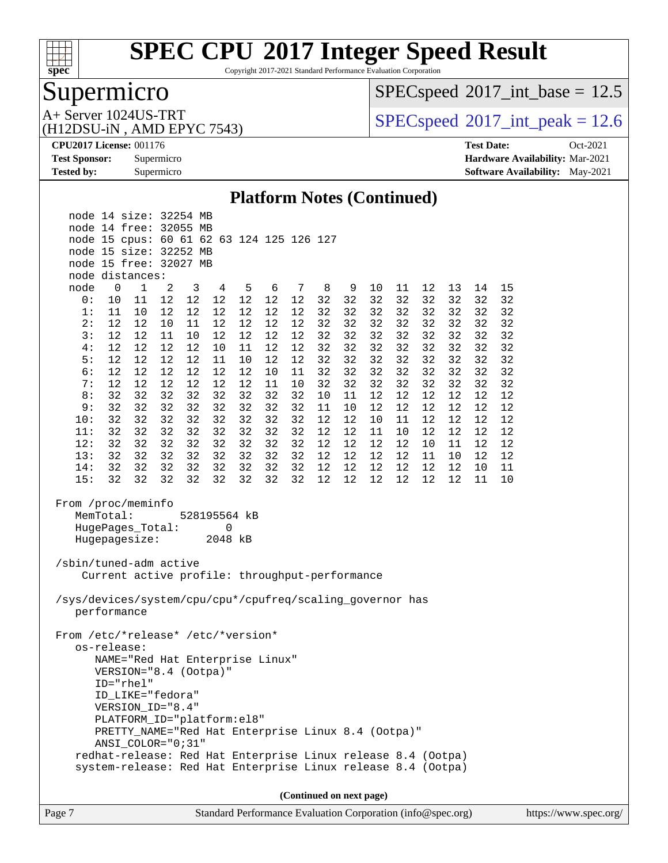

Copyright 2017-2021 Standard Performance Evaluation Corporation

# Supermicro

 $SPEC speed$ <sup>®</sup> $2017$ \_int\_base = 12.5

A+ Server 1024US-TRT<br>(H12DSU-iN, AMD EPYC 7543)

 $SPEC speed$ <sup>®</sup> $2017$ \_int\_peak = 12.6

**[CPU2017 License:](http://www.spec.org/auto/cpu2017/Docs/result-fields.html#CPU2017License)** 001176 **[Test Date:](http://www.spec.org/auto/cpu2017/Docs/result-fields.html#TestDate)** Oct-2021 **[Test Sponsor:](http://www.spec.org/auto/cpu2017/Docs/result-fields.html#TestSponsor)** Supermicro **[Hardware Availability:](http://www.spec.org/auto/cpu2017/Docs/result-fields.html#HardwareAvailability)** Mar-2021 **[Tested by:](http://www.spec.org/auto/cpu2017/Docs/result-fields.html#Testedby)** Supermicro **[Software Availability:](http://www.spec.org/auto/cpu2017/Docs/result-fields.html#SoftwareAvailability)** May-2021

#### **[Platform Notes \(Continued\)](http://www.spec.org/auto/cpu2017/Docs/result-fields.html#PlatformNotes)**

|                                                           |                                                                                                      | node 14 size: 32254 MB                                       |        |              |    |    |    |    |    |    |        |    |    |    |    |    |  |
|-----------------------------------------------------------|------------------------------------------------------------------------------------------------------|--------------------------------------------------------------|--------|--------------|----|----|----|----|----|----|--------|----|----|----|----|----|--|
|                                                           |                                                                                                      | node 14 free: 32055 MB                                       |        |              |    |    |    |    |    |    |        |    |    |    |    |    |  |
|                                                           |                                                                                                      | node 15 cpus: 60 61 62 63 124 125 126 127                    |        |              |    |    |    |    |    |    |        |    |    |    |    |    |  |
|                                                           |                                                                                                      | node 15 size: 32252 MB                                       |        |              |    |    |    |    |    |    |        |    |    |    |    |    |  |
|                                                           |                                                                                                      | node 15 free: 32027 MB                                       |        |              |    |    |    |    |    |    |        |    |    |    |    |    |  |
|                                                           |                                                                                                      | node distances:                                              |        |              |    |    |    |    |    |    |        |    |    |    |    |    |  |
| node                                                      | $\mathbf 0$                                                                                          | 1                                                            | 2      | $\mathbf{3}$ | 4  | 5  | 6  | 7  | 8  | 9  | 10     | 11 | 12 | 13 | 14 | 15 |  |
| 0:                                                        | 10                                                                                                   | 11                                                           | $1\,2$ | 12           | 12 | 12 | 12 | 12 | 32 | 32 | 32     | 32 | 32 | 32 | 32 | 32 |  |
| 1:                                                        | 11                                                                                                   | 10                                                           | 12     | 12           | 12 | 12 | 12 | 12 | 32 | 32 | 32     | 32 | 32 | 32 | 32 | 32 |  |
| 2:                                                        | 12                                                                                                   | 12                                                           | 10     | 11           | 12 | 12 | 12 | 12 | 32 | 32 | 32     | 32 | 32 | 32 | 32 | 32 |  |
| 3:                                                        | 12                                                                                                   | 12                                                           | 11     | 10           | 12 | 12 | 12 | 12 | 32 | 32 | 32     | 32 | 32 | 32 | 32 | 32 |  |
| 4:                                                        | 12                                                                                                   | 12                                                           | 12     | 12           | 10 | 11 | 12 | 12 | 32 | 32 | 32     | 32 | 32 | 32 | 32 | 32 |  |
| 5:                                                        | 12                                                                                                   | 12                                                           | 12     | 12           | 11 | 10 | 12 | 12 | 32 | 32 | 32     | 32 | 32 | 32 | 32 | 32 |  |
| 6:                                                        | 12                                                                                                   | 12                                                           | 12     | 12           | 12 | 12 | 10 | 11 | 32 | 32 | 32     | 32 | 32 | 32 | 32 | 32 |  |
| 7:                                                        | 12                                                                                                   | 12                                                           | 12     | 12           | 12 | 12 | 11 | 10 | 32 | 32 | 32     | 32 | 32 | 32 | 32 | 32 |  |
| 8:                                                        | 32                                                                                                   | 32                                                           | 32     | 32           | 32 | 32 | 32 | 32 | 10 | 11 | 12     | 12 | 12 | 12 | 12 | 12 |  |
| 9:                                                        | 32                                                                                                   | 32                                                           | 32     | 32           | 32 | 32 | 32 | 32 | 11 | 10 | 12     | 12 | 12 | 12 | 12 | 12 |  |
| 10:                                                       | 32                                                                                                   | 32                                                           | 32     | 32           | 32 | 32 | 32 | 32 | 12 | 12 | 10     | 11 | 12 | 12 | 12 | 12 |  |
| 11:                                                       | 32                                                                                                   | 32                                                           | 32     | 32           | 32 | 32 | 32 | 32 | 12 | 12 | $11\,$ | 10 | 12 | 12 | 12 | 12 |  |
| 12:                                                       | 32                                                                                                   | 32                                                           | 32     | 32           | 32 | 32 | 32 | 32 | 12 | 12 | 12     | 12 | 10 | 11 | 12 | 12 |  |
| 13:                                                       | 32                                                                                                   | 32                                                           | 32     | 32           | 32 | 32 | 32 | 32 | 12 | 12 | 12     | 12 | 11 | 10 | 12 | 12 |  |
| 14:                                                       | 32                                                                                                   | 32                                                           | 32     | 32           | 32 | 32 | 32 | 32 | 12 | 12 | 12     | 12 | 12 | 12 | 10 | 11 |  |
| 15:                                                       | 32                                                                                                   | 32                                                           | 32     | 32           | 32 | 32 | 32 | 32 | 12 | 12 | 12     | 12 | 12 | 12 | 11 | 10 |  |
|                                                           | From /proc/meminfo<br>MemTotal:<br>528195564 kB<br>HugePages_Total:<br>0<br>Hugepagesize:<br>2048 kB |                                                              |        |              |    |    |    |    |    |    |        |    |    |    |    |    |  |
| /sbin/tuned-adm active                                    |                                                                                                      | Current active profile: throughput-performance               |        |              |    |    |    |    |    |    |        |    |    |    |    |    |  |
| /sys/devices/system/cpu/cpu*/cpufreq/scaling_governor has |                                                                                                      | performance                                                  |        |              |    |    |    |    |    |    |        |    |    |    |    |    |  |
|                                                           | From /etc/*release* /etc/*version*<br>os-release:<br>NAME="Red Hat Enterprise Linux"                 |                                                              |        |              |    |    |    |    |    |    |        |    |    |    |    |    |  |
| VERSION="8.4 (Ootpa)"<br>ID="rhel"                        |                                                                                                      |                                                              |        |              |    |    |    |    |    |    |        |    |    |    |    |    |  |
| ID_LIKE="fedora"                                          |                                                                                                      |                                                              |        |              |    |    |    |    |    |    |        |    |    |    |    |    |  |
| VERSION ID="8.4"                                          |                                                                                                      |                                                              |        |              |    |    |    |    |    |    |        |    |    |    |    |    |  |
| PLATFORM_ID="platform:el8"                                |                                                                                                      |                                                              |        |              |    |    |    |    |    |    |        |    |    |    |    |    |  |
| PRETTY_NAME="Red Hat Enterprise Linux 8.4 (Ootpa)"        |                                                                                                      |                                                              |        |              |    |    |    |    |    |    |        |    |    |    |    |    |  |
| ANSI_COLOR="0;31"                                         |                                                                                                      |                                                              |        |              |    |    |    |    |    |    |        |    |    |    |    |    |  |
|                                                           |                                                                                                      | redhat-release: Red Hat Enterprise Linux release 8.4 (Ootpa) |        |              |    |    |    |    |    |    |        |    |    |    |    |    |  |
|                                                           | system-release: Red Hat Enterprise Linux release 8.4 (Ootpa)                                         |                                                              |        |              |    |    |    |    |    |    |        |    |    |    |    |    |  |
|                                                           |                                                                                                      |                                                              |        |              |    |    |    |    |    |    |        |    |    |    |    |    |  |
|                                                           | (Continued on next page)                                                                             |                                                              |        |              |    |    |    |    |    |    |        |    |    |    |    |    |  |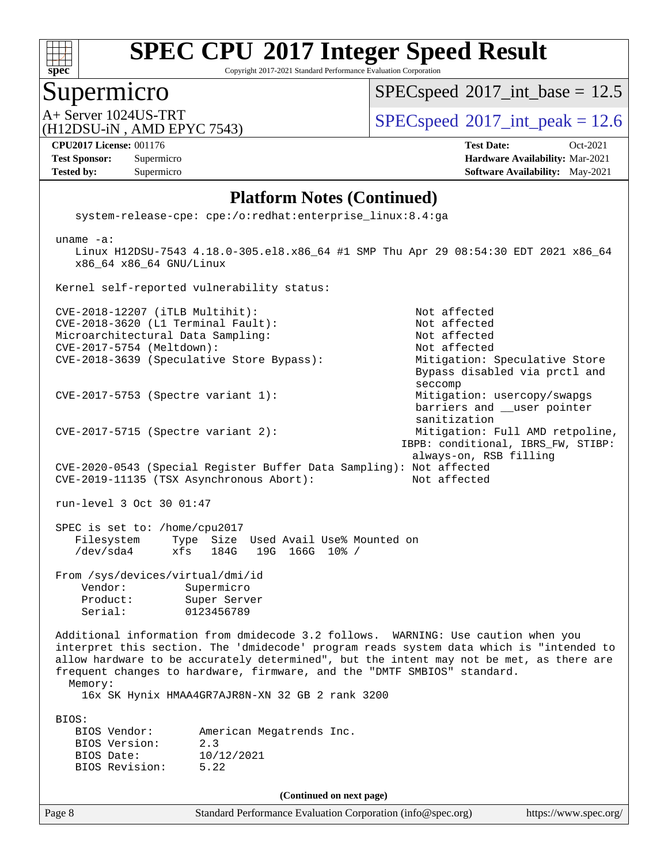

Copyright 2017-2021 Standard Performance Evaluation Corporation

## Supermicro

 $SPECspeed^{\circledcirc}2017\_int\_base = 12.5$  $SPECspeed^{\circledcirc}2017\_int\_base = 12.5$ 

(H12DSU-iN , AMD EPYC 7543)

A+ Server 1024US-TRT  $SPEC speed@2017$ \_int\_peak = 12.6

**[Tested by:](http://www.spec.org/auto/cpu2017/Docs/result-fields.html#Testedby)** Supermicro **Supermicro [Software Availability:](http://www.spec.org/auto/cpu2017/Docs/result-fields.html#SoftwareAvailability)** May-2021

**[CPU2017 License:](http://www.spec.org/auto/cpu2017/Docs/result-fields.html#CPU2017License)** 001176 **[Test Date:](http://www.spec.org/auto/cpu2017/Docs/result-fields.html#TestDate)** Oct-2021 **[Test Sponsor:](http://www.spec.org/auto/cpu2017/Docs/result-fields.html#TestSponsor)** Supermicro **[Hardware Availability:](http://www.spec.org/auto/cpu2017/Docs/result-fields.html#HardwareAvailability)** Mar-2021

#### **[Platform Notes \(Continued\)](http://www.spec.org/auto/cpu2017/Docs/result-fields.html#PlatformNotes)**

 system-release-cpe: cpe:/o:redhat:enterprise\_linux:8.4:ga uname -a: Linux H12DSU-7543 4.18.0-305.el8.x86\_64 #1 SMP Thu Apr 29 08:54:30 EDT 2021 x86\_64 x86\_64 x86\_64 GNU/Linux Kernel self-reported vulnerability status: CVE-2018-12207 (iTLB Multihit): Not affected CVE-2018-3620 (L1 Terminal Fault): Not affected Microarchitectural Data Sampling: Not affected CVE-2017-5754 (Meltdown): Not affected CVE-2018-3639 (Speculative Store Bypass): Mitigation: Speculative Store Bypass disabled via prctl and seccomp CVE-2017-5753 (Spectre variant 1): Mitigation: usercopy/swapgs barriers and \_\_user pointer sanitization CVE-2017-5715 (Spectre variant 2): Mitigation: Full AMD retpoline, IBPB: conditional, IBRS\_FW, STIBP: always-on, RSB filling CVE-2020-0543 (Special Register Buffer Data Sampling): Not affected CVE-2019-11135 (TSX Asynchronous Abort): Not affected run-level 3 Oct 30 01:47 SPEC is set to: /home/cpu2017 Filesystem Type Size Used Avail Use% Mounted on /dev/sda4 xfs 184G 19G 166G 10% / From /sys/devices/virtual/dmi/id Vendor: Supermicro Product: Super Server Serial: 0123456789 Additional information from dmidecode 3.2 follows. WARNING: Use caution when you interpret this section. The 'dmidecode' program reads system data which is "intended to allow hardware to be accurately determined", but the intent may not be met, as there are frequent changes to hardware, firmware, and the "DMTF SMBIOS" standard. Memory: 16x SK Hynix HMAA4GR7AJR8N-XN 32 GB 2 rank 3200 BIOS: BIOS Vendor: American Megatrends Inc. BIOS Version: 2.3 BIOS Date: 10/12/2021 BIOS Revision: 5.22 **(Continued on next page)**

Page 8 Standard Performance Evaluation Corporation [\(info@spec.org\)](mailto:info@spec.org) <https://www.spec.org/>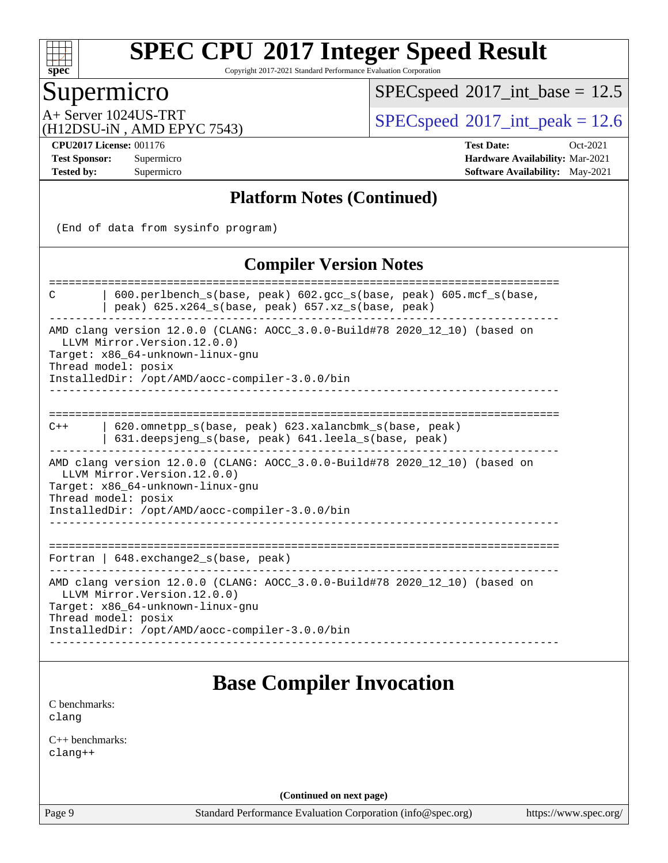

Copyright 2017-2021 Standard Performance Evaluation Corporation

### Supermicro

 $SPECspeed^{\circledcirc}2017\_int\_base = 12.5$  $SPECspeed^{\circledcirc}2017\_int\_base = 12.5$ 

(H12DSU-iN , AMD EPYC 7543)

A+ Server 1024US-TRT  $SPEC speed@2017$ \_int\_peak = 12.6

**[CPU2017 License:](http://www.spec.org/auto/cpu2017/Docs/result-fields.html#CPU2017License)** 001176 **[Test Date:](http://www.spec.org/auto/cpu2017/Docs/result-fields.html#TestDate)** Oct-2021 **[Test Sponsor:](http://www.spec.org/auto/cpu2017/Docs/result-fields.html#TestSponsor)** Supermicro **[Hardware Availability:](http://www.spec.org/auto/cpu2017/Docs/result-fields.html#HardwareAvailability)** Mar-2021 **[Tested by:](http://www.spec.org/auto/cpu2017/Docs/result-fields.html#Testedby)** Supermicro **[Software Availability:](http://www.spec.org/auto/cpu2017/Docs/result-fields.html#SoftwareAvailability)** May-2021

#### **[Platform Notes \(Continued\)](http://www.spec.org/auto/cpu2017/Docs/result-fields.html#PlatformNotes)**

(End of data from sysinfo program)

#### **[Compiler Version Notes](http://www.spec.org/auto/cpu2017/Docs/result-fields.html#CompilerVersionNotes)**

============================================================================== C | 600.perlbench\_s(base, peak) 602.gcc\_s(base, peak) 605.mcf\_s(base, | peak)  $625.x264_s(base, peak)$   $657.xz_s(base, peak)$ ------------------------------------------------------------------------------ AMD clang version 12.0.0 (CLANG: AOCC\_3.0.0-Build#78 2020\_12\_10) (based on LLVM Mirror.Version.12.0.0) Target: x86\_64-unknown-linux-gnu Thread model: posix InstalledDir: /opt/AMD/aocc-compiler-3.0.0/bin ------------------------------------------------------------------------------ ============================================================================== C++ | 620.omnetpp\_s(base, peak) 623.xalancbmk\_s(base, peak) | 631.deepsjeng\_s(base, peak) 641.leela\_s(base, peak) ------------------------------------------------------------------------------ AMD clang version 12.0.0 (CLANG: AOCC\_3.0.0-Build#78 2020\_12\_10) (based on LLVM Mirror.Version.12.0.0) Target: x86\_64-unknown-linux-gnu Thread model: posix InstalledDir: /opt/AMD/aocc-compiler-3.0.0/bin ------------------------------------------------------------------------------ ============================================================================== Fortran | 648.exchange2\_s(base, peak) ------------------------------------------------------------------------------ AMD clang version 12.0.0 (CLANG: AOCC\_3.0.0-Build#78 2020\_12\_10) (based on LLVM Mirror.Version.12.0.0) Target: x86\_64-unknown-linux-gnu Thread model: posix InstalledDir: /opt/AMD/aocc-compiler-3.0.0/bin ------------------------------------------------------------------------------

# **[Base Compiler Invocation](http://www.spec.org/auto/cpu2017/Docs/result-fields.html#BaseCompilerInvocation)**

[C benchmarks](http://www.spec.org/auto/cpu2017/Docs/result-fields.html#Cbenchmarks): [clang](http://www.spec.org/cpu2017/results/res2021q4/cpu2017-20211109-30052.flags.html#user_CCbase_clang-c)

[C++ benchmarks:](http://www.spec.org/auto/cpu2017/Docs/result-fields.html#CXXbenchmarks) [clang++](http://www.spec.org/cpu2017/results/res2021q4/cpu2017-20211109-30052.flags.html#user_CXXbase_clang-cpp)

**(Continued on next page)**

Page 9 Standard Performance Evaluation Corporation [\(info@spec.org\)](mailto:info@spec.org) <https://www.spec.org/>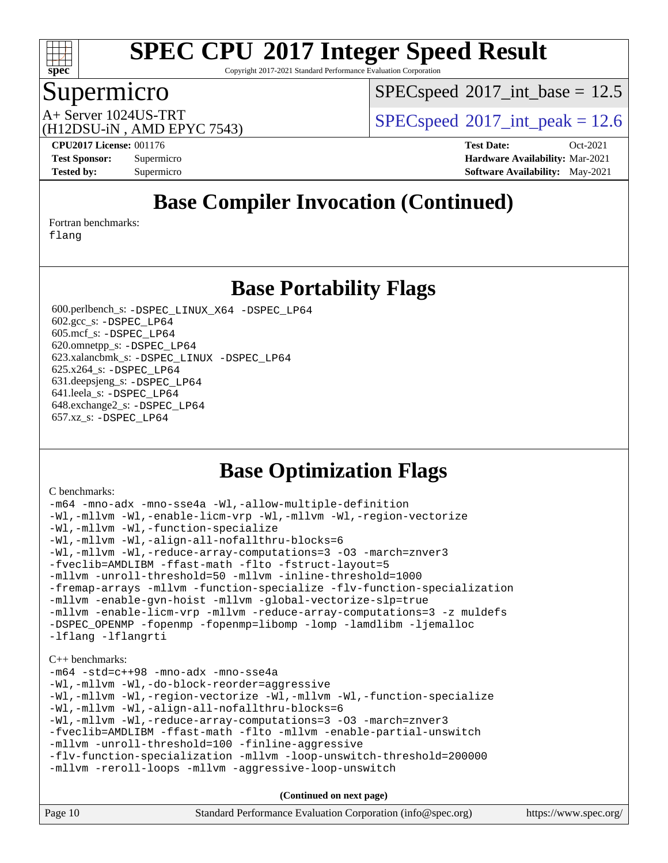

Copyright 2017-2021 Standard Performance Evaluation Corporation

### Supermicro

 $SPECspeed^{\circledcirc}2017\_int\_base = 12.5$  $SPECspeed^{\circledcirc}2017\_int\_base = 12.5$ 

(H12DSU-iN , AMD EPYC 7543)

A+ Server 1024US-TRT  $SPEC speed@2017$ \_int\_peak = 12.6

**[CPU2017 License:](http://www.spec.org/auto/cpu2017/Docs/result-fields.html#CPU2017License)** 001176 **[Test Date:](http://www.spec.org/auto/cpu2017/Docs/result-fields.html#TestDate)** Oct-2021 **[Test Sponsor:](http://www.spec.org/auto/cpu2017/Docs/result-fields.html#TestSponsor)** Supermicro **[Hardware Availability:](http://www.spec.org/auto/cpu2017/Docs/result-fields.html#HardwareAvailability)** Mar-2021 **[Tested by:](http://www.spec.org/auto/cpu2017/Docs/result-fields.html#Testedby)** Supermicro **[Software Availability:](http://www.spec.org/auto/cpu2017/Docs/result-fields.html#SoftwareAvailability)** May-2021

# **[Base Compiler Invocation \(Continued\)](http://www.spec.org/auto/cpu2017/Docs/result-fields.html#BaseCompilerInvocation)**

[Fortran benchmarks](http://www.spec.org/auto/cpu2017/Docs/result-fields.html#Fortranbenchmarks):

[flang](http://www.spec.org/cpu2017/results/res2021q4/cpu2017-20211109-30052.flags.html#user_FCbase_flang)

### **[Base Portability Flags](http://www.spec.org/auto/cpu2017/Docs/result-fields.html#BasePortabilityFlags)**

 600.perlbench\_s: [-DSPEC\\_LINUX\\_X64](http://www.spec.org/cpu2017/results/res2021q4/cpu2017-20211109-30052.flags.html#b600.perlbench_s_basePORTABILITY_DSPEC_LINUX_X64) [-DSPEC\\_LP64](http://www.spec.org/cpu2017/results/res2021q4/cpu2017-20211109-30052.flags.html#b600.perlbench_s_baseEXTRA_PORTABILITY_DSPEC_LP64) 602.gcc\_s: [-DSPEC\\_LP64](http://www.spec.org/cpu2017/results/res2021q4/cpu2017-20211109-30052.flags.html#suite_baseEXTRA_PORTABILITY602_gcc_s_DSPEC_LP64) 605.mcf\_s: [-DSPEC\\_LP64](http://www.spec.org/cpu2017/results/res2021q4/cpu2017-20211109-30052.flags.html#suite_baseEXTRA_PORTABILITY605_mcf_s_DSPEC_LP64) 620.omnetpp\_s: [-DSPEC\\_LP64](http://www.spec.org/cpu2017/results/res2021q4/cpu2017-20211109-30052.flags.html#suite_baseEXTRA_PORTABILITY620_omnetpp_s_DSPEC_LP64) 623.xalancbmk\_s: [-DSPEC\\_LINUX](http://www.spec.org/cpu2017/results/res2021q4/cpu2017-20211109-30052.flags.html#b623.xalancbmk_s_basePORTABILITY_DSPEC_LINUX) [-DSPEC\\_LP64](http://www.spec.org/cpu2017/results/res2021q4/cpu2017-20211109-30052.flags.html#suite_baseEXTRA_PORTABILITY623_xalancbmk_s_DSPEC_LP64) 625.x264\_s: [-DSPEC\\_LP64](http://www.spec.org/cpu2017/results/res2021q4/cpu2017-20211109-30052.flags.html#suite_baseEXTRA_PORTABILITY625_x264_s_DSPEC_LP64) 631.deepsjeng\_s: [-DSPEC\\_LP64](http://www.spec.org/cpu2017/results/res2021q4/cpu2017-20211109-30052.flags.html#suite_baseEXTRA_PORTABILITY631_deepsjeng_s_DSPEC_LP64) 641.leela\_s: [-DSPEC\\_LP64](http://www.spec.org/cpu2017/results/res2021q4/cpu2017-20211109-30052.flags.html#suite_baseEXTRA_PORTABILITY641_leela_s_DSPEC_LP64) 648.exchange2\_s: [-DSPEC\\_LP64](http://www.spec.org/cpu2017/results/res2021q4/cpu2017-20211109-30052.flags.html#suite_baseEXTRA_PORTABILITY648_exchange2_s_DSPEC_LP64) 657.xz\_s: [-DSPEC\\_LP64](http://www.spec.org/cpu2017/results/res2021q4/cpu2017-20211109-30052.flags.html#suite_baseEXTRA_PORTABILITY657_xz_s_DSPEC_LP64)

### **[Base Optimization Flags](http://www.spec.org/auto/cpu2017/Docs/result-fields.html#BaseOptimizationFlags)**

#### [C benchmarks](http://www.spec.org/auto/cpu2017/Docs/result-fields.html#Cbenchmarks):

[-m64](http://www.spec.org/cpu2017/results/res2021q4/cpu2017-20211109-30052.flags.html#user_CCbase_F-m64) [-mno-adx](http://www.spec.org/cpu2017/results/res2021q4/cpu2017-20211109-30052.flags.html#user_CCbase_F-mno-adx) [-mno-sse4a](http://www.spec.org/cpu2017/results/res2021q4/cpu2017-20211109-30052.flags.html#user_CCbase_F-mno-sse4a) [-Wl,-allow-multiple-definition](http://www.spec.org/cpu2017/results/res2021q4/cpu2017-20211109-30052.flags.html#user_CCbase_F-allow-multiple-definition_970930b9380f536892d286f43fe3aa60143711811517403e860b887d69527ebeb0ce7f1b66302f2a87b3cab7b5adae5fa57fa46168627b86a7718b21636cd604) [-Wl,-mllvm -Wl,-enable-licm-vrp](http://www.spec.org/cpu2017/results/res2021q4/cpu2017-20211109-30052.flags.html#user_CCbase_F-enable-licm-vrp_65c4fc69039207ec88421e1591ba3bbf2ac715c2f390cac268ece6f40ae7757bd65f971ef38c9b70aedd2bf37e4037d3d64a7fe88db6aed78b6f244274772259) [-Wl,-mllvm -Wl,-region-vectorize](http://www.spec.org/cpu2017/results/res2021q4/cpu2017-20211109-30052.flags.html#user_CCbase_F-region-vectorize_fb6c6b5aa293c88efc6c7c2b52b20755e943585b1fe8658c35afef78727fff56e1a56891413c30e36b8e2a6f9a71126986319243e80eb6110b78b288f533c52b) [-Wl,-mllvm -Wl,-function-specialize](http://www.spec.org/cpu2017/results/res2021q4/cpu2017-20211109-30052.flags.html#user_CCbase_F-function-specialize_7e7e661e57922243ee67c9a1251cb8910e607325179a0ce7f2884e09a6f5d4a5ef0ae4f37e8a2a11c95fc48e931f06dc2b6016f14b511fcb441e048bef1b065a) [-Wl,-mllvm -Wl,-align-all-nofallthru-blocks=6](http://www.spec.org/cpu2017/results/res2021q4/cpu2017-20211109-30052.flags.html#user_CCbase_F-align-all-nofallthru-blocks) [-Wl,-mllvm -Wl,-reduce-array-computations=3](http://www.spec.org/cpu2017/results/res2021q4/cpu2017-20211109-30052.flags.html#user_CCbase_F-reduce-array-computations_b882aefe7a5dda4e33149f6299762b9a720dace3e498e13756f4c04e5a19edf5315c1f3993de2e61ec41e8c206231f84e05da7040e1bb5d69ba27d10a12507e4) [-O3](http://www.spec.org/cpu2017/results/res2021q4/cpu2017-20211109-30052.flags.html#user_CCbase_F-O3) [-march=znver3](http://www.spec.org/cpu2017/results/res2021q4/cpu2017-20211109-30052.flags.html#user_CCbase_aocc-march) [-fveclib=AMDLIBM](http://www.spec.org/cpu2017/results/res2021q4/cpu2017-20211109-30052.flags.html#user_CCbase_F-fveclib) [-ffast-math](http://www.spec.org/cpu2017/results/res2021q4/cpu2017-20211109-30052.flags.html#user_CCbase_aocc-ffast-math) [-flto](http://www.spec.org/cpu2017/results/res2021q4/cpu2017-20211109-30052.flags.html#user_CCbase_aocc-flto) [-fstruct-layout=5](http://www.spec.org/cpu2017/results/res2021q4/cpu2017-20211109-30052.flags.html#user_CCbase_F-struct-layout) [-mllvm -unroll-threshold=50](http://www.spec.org/cpu2017/results/res2021q4/cpu2017-20211109-30052.flags.html#user_CCbase_F-unroll-threshold_458874500b2c105d6d5cb4d7a611c40e2b16e9e3d26b355fea72d644c3673b4de4b3932662f0ed3dbec75c491a13da2d2ca81180bd779dc531083ef1e1e549dc) [-mllvm -inline-threshold=1000](http://www.spec.org/cpu2017/results/res2021q4/cpu2017-20211109-30052.flags.html#user_CCbase_F-inline-threshold_b7832241b0a6397e4ecdbaf0eb7defdc10f885c2a282fa3240fdc99844d543fda39cf8a4a9dccf68cf19b5438ac3b455264f478df15da0f4988afa40d8243bab) [-fremap-arrays](http://www.spec.org/cpu2017/results/res2021q4/cpu2017-20211109-30052.flags.html#user_CCbase_F-fremap-arrays) [-mllvm -function-specialize](http://www.spec.org/cpu2017/results/res2021q4/cpu2017-20211109-30052.flags.html#user_CCbase_F-function-specialize_233b3bdba86027f1b094368157e481c5bc59f40286dc25bfadc1858dcd5745c24fd30d5f188710db7fea399bcc9f44a80b3ce3aacc70a8870250c3ae5e1f35b8) [-flv-function-specialization](http://www.spec.org/cpu2017/results/res2021q4/cpu2017-20211109-30052.flags.html#user_CCbase_F-flv-function-specialization) [-mllvm -enable-gvn-hoist](http://www.spec.org/cpu2017/results/res2021q4/cpu2017-20211109-30052.flags.html#user_CCbase_F-enable-gvn-hoist_e5856354646dd6ca1333a0ad99b817e4cf8932b91b82809fd8fd47ceff7b22a89eba5c98fd3e3fa5200368fd772cec3dd56abc3c8f7b655a71b9f9848dddedd5) [-mllvm -global-vectorize-slp=true](http://www.spec.org/cpu2017/results/res2021q4/cpu2017-20211109-30052.flags.html#user_CCbase_F-global-vectorize-slp_f701c289ed3fc79483844cad3672606d268e3123d2651e764a36e57810b634b30ff7af25c43ce4288d0e4c1cc47ba156fce6ed971bc0d0e53c4c557f353d3dec) [-mllvm -enable-licm-vrp](http://www.spec.org/cpu2017/results/res2021q4/cpu2017-20211109-30052.flags.html#user_CCbase_F-enable-licm-vrp_82fd83574dee81d8c8043a1355024a53ba7c23d449242d72368fd778ae4cd8625fb6c8e473e88c632367ccc13b0c321b9a13b8db897fcfc1592cf0205fd356b5) [-mllvm -reduce-array-computations=3](http://www.spec.org/cpu2017/results/res2021q4/cpu2017-20211109-30052.flags.html#user_CCbase_F-reduce-array-computations) [-z muldefs](http://www.spec.org/cpu2017/results/res2021q4/cpu2017-20211109-30052.flags.html#user_CCbase_aocc-muldefs) [-DSPEC\\_OPENMP](http://www.spec.org/cpu2017/results/res2021q4/cpu2017-20211109-30052.flags.html#suite_CCbase_DSPEC_OPENMP) [-fopenmp](http://www.spec.org/cpu2017/results/res2021q4/cpu2017-20211109-30052.flags.html#user_CCbase_aocc-fopenmp) [-fopenmp=libomp](http://www.spec.org/cpu2017/results/res2021q4/cpu2017-20211109-30052.flags.html#user_CCbase_aocc-fopenmp_3eb6ab80166bcc84161ff8c20c8d5bc344f88119f45620444596454f7d72e99b7a0ceefc2d1b4d190bd07306bbfdfc20f11f5a2dc69c9b03c72239f8406741c3) [-lomp](http://www.spec.org/cpu2017/results/res2021q4/cpu2017-20211109-30052.flags.html#user_CCbase_F-lomp) [-lamdlibm](http://www.spec.org/cpu2017/results/res2021q4/cpu2017-20211109-30052.flags.html#user_CCbase_F-lamdlibm) [-ljemalloc](http://www.spec.org/cpu2017/results/res2021q4/cpu2017-20211109-30052.flags.html#user_CCbase_jemalloc-lib) [-lflang](http://www.spec.org/cpu2017/results/res2021q4/cpu2017-20211109-30052.flags.html#user_CCbase_F-lflang) [-lflangrti](http://www.spec.org/cpu2017/results/res2021q4/cpu2017-20211109-30052.flags.html#user_CCbase_F-lflangrti) [C++ benchmarks:](http://www.spec.org/auto/cpu2017/Docs/result-fields.html#CXXbenchmarks) [-m64](http://www.spec.org/cpu2017/results/res2021q4/cpu2017-20211109-30052.flags.html#user_CXXbase_F-m64) [-std=c++98](http://www.spec.org/cpu2017/results/res2021q4/cpu2017-20211109-30052.flags.html#user_CXXbase_std-cpp) [-mno-adx](http://www.spec.org/cpu2017/results/res2021q4/cpu2017-20211109-30052.flags.html#user_CXXbase_F-mno-adx) [-mno-sse4a](http://www.spec.org/cpu2017/results/res2021q4/cpu2017-20211109-30052.flags.html#user_CXXbase_F-mno-sse4a) [-Wl,-mllvm -Wl,-do-block-reorder=aggressive](http://www.spec.org/cpu2017/results/res2021q4/cpu2017-20211109-30052.flags.html#user_CXXbase_F-do-block-reorder_5f74e61ee573767a7a801151b896942f7b82b19d6cd9bf8ce970c1e994a093b9201db6c2ab0fa62493e8c1b02c988fb29421a5aa214bf67b5398dfa89747b1b3) [-Wl,-mllvm -Wl,-region-vectorize](http://www.spec.org/cpu2017/results/res2021q4/cpu2017-20211109-30052.flags.html#user_CXXbase_F-region-vectorize_fb6c6b5aa293c88efc6c7c2b52b20755e943585b1fe8658c35afef78727fff56e1a56891413c30e36b8e2a6f9a71126986319243e80eb6110b78b288f533c52b) [-Wl,-mllvm -Wl,-function-specialize](http://www.spec.org/cpu2017/results/res2021q4/cpu2017-20211109-30052.flags.html#user_CXXbase_F-function-specialize_7e7e661e57922243ee67c9a1251cb8910e607325179a0ce7f2884e09a6f5d4a5ef0ae4f37e8a2a11c95fc48e931f06dc2b6016f14b511fcb441e048bef1b065a) [-Wl,-mllvm -Wl,-align-all-nofallthru-blocks=6](http://www.spec.org/cpu2017/results/res2021q4/cpu2017-20211109-30052.flags.html#user_CXXbase_F-align-all-nofallthru-blocks) [-Wl,-mllvm -Wl,-reduce-array-computations=3](http://www.spec.org/cpu2017/results/res2021q4/cpu2017-20211109-30052.flags.html#user_CXXbase_F-reduce-array-computations_b882aefe7a5dda4e33149f6299762b9a720dace3e498e13756f4c04e5a19edf5315c1f3993de2e61ec41e8c206231f84e05da7040e1bb5d69ba27d10a12507e4) [-O3](http://www.spec.org/cpu2017/results/res2021q4/cpu2017-20211109-30052.flags.html#user_CXXbase_F-O3) [-march=znver3](http://www.spec.org/cpu2017/results/res2021q4/cpu2017-20211109-30052.flags.html#user_CXXbase_aocc-march) [-fveclib=AMDLIBM](http://www.spec.org/cpu2017/results/res2021q4/cpu2017-20211109-30052.flags.html#user_CXXbase_F-fveclib) [-ffast-math](http://www.spec.org/cpu2017/results/res2021q4/cpu2017-20211109-30052.flags.html#user_CXXbase_aocc-ffast-math) [-flto](http://www.spec.org/cpu2017/results/res2021q4/cpu2017-20211109-30052.flags.html#user_CXXbase_aocc-flto) [-mllvm -enable-partial-unswitch](http://www.spec.org/cpu2017/results/res2021q4/cpu2017-20211109-30052.flags.html#user_CXXbase_F-enable-partial-unswitch_6e1c33f981d77963b1eaf834973128a7f33ce3f8e27f54689656697a35e89dcc875281e0e6283d043e32f367dcb605ba0e307a92e830f7e326789fa6c61b35d3) [-mllvm -unroll-threshold=100](http://www.spec.org/cpu2017/results/res2021q4/cpu2017-20211109-30052.flags.html#user_CXXbase_F-unroll-threshold) [-finline-aggressive](http://www.spec.org/cpu2017/results/res2021q4/cpu2017-20211109-30052.flags.html#user_CXXbase_F-finline-aggressive) [-flv-function-specialization](http://www.spec.org/cpu2017/results/res2021q4/cpu2017-20211109-30052.flags.html#user_CXXbase_F-flv-function-specialization) [-mllvm -loop-unswitch-threshold=200000](http://www.spec.org/cpu2017/results/res2021q4/cpu2017-20211109-30052.flags.html#user_CXXbase_F-loop-unswitch-threshold_f9a82ae3270e55b5fbf79d0d96ee93606b73edbbe527d20b18b7bff1a3a146ad50cfc7454c5297978340ae9213029016a7d16221274d672d3f7f42ed25274e1d) [-mllvm -reroll-loops](http://www.spec.org/cpu2017/results/res2021q4/cpu2017-20211109-30052.flags.html#user_CXXbase_F-reroll-loops) [-mllvm -aggressive-loop-unswitch](http://www.spec.org/cpu2017/results/res2021q4/cpu2017-20211109-30052.flags.html#user_CXXbase_F-aggressive-loop-unswitch_abd8177005d493f9a81f88ae32814acdc0422950e54bc53b0605c538e2e7549eb43d48c826089056b98aa2f0c142dc7ed1401fa1c97db9286a8c3ff748437b59)

| Page 10 | Standard Performance Evaluation Corporation (info@spec.org) | https://www.spec.org/ |
|---------|-------------------------------------------------------------|-----------------------|
|---------|-------------------------------------------------------------|-----------------------|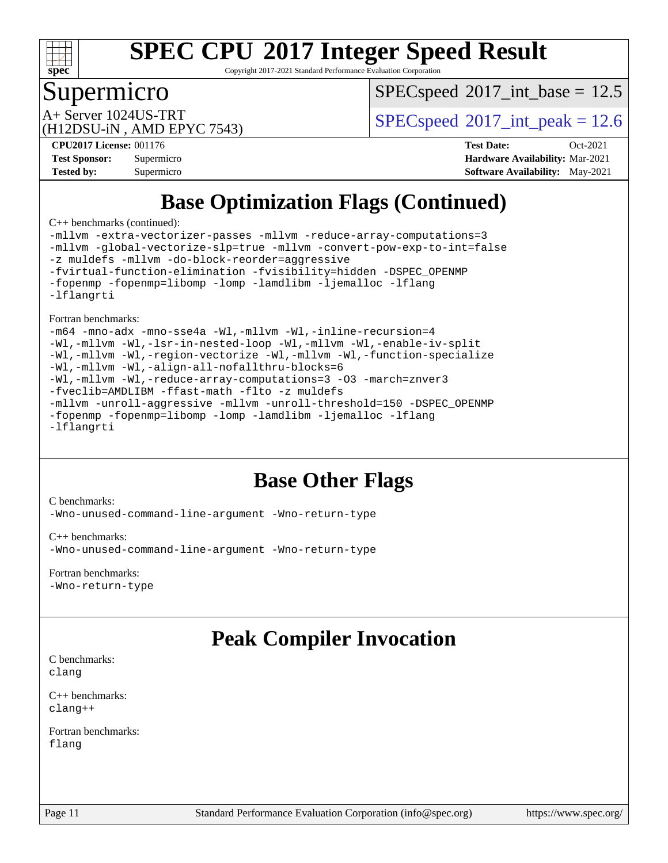

Copyright 2017-2021 Standard Performance Evaluation Corporation

### Supermicro

 $SPECspeed^{\circledcirc}2017\_int\_base = 12.5$  $SPECspeed^{\circledcirc}2017\_int\_base = 12.5$ 

(H12DSU-iN , AMD EPYC 7543)

A+ Server 1024US-TRT  $SPEC speed@2017$ \_int\_peak = 12.6

**[CPU2017 License:](http://www.spec.org/auto/cpu2017/Docs/result-fields.html#CPU2017License)** 001176 **[Test Date:](http://www.spec.org/auto/cpu2017/Docs/result-fields.html#TestDate)** Oct-2021 **[Test Sponsor:](http://www.spec.org/auto/cpu2017/Docs/result-fields.html#TestSponsor)** Supermicro **[Hardware Availability:](http://www.spec.org/auto/cpu2017/Docs/result-fields.html#HardwareAvailability)** Mar-2021 **[Tested by:](http://www.spec.org/auto/cpu2017/Docs/result-fields.html#Testedby)** Supermicro **[Software Availability:](http://www.spec.org/auto/cpu2017/Docs/result-fields.html#SoftwareAvailability)** May-2021

# **[Base Optimization Flags \(Continued\)](http://www.spec.org/auto/cpu2017/Docs/result-fields.html#BaseOptimizationFlags)**

[C++ benchmarks](http://www.spec.org/auto/cpu2017/Docs/result-fields.html#CXXbenchmarks) (continued):

[-mllvm -extra-vectorizer-passes](http://www.spec.org/cpu2017/results/res2021q4/cpu2017-20211109-30052.flags.html#user_CXXbase_F-extra-vectorizer-passes_4bb9f90681e045f5ce38050c5c48e52c5a95ed819cbc44e12f6b389a91a38f1bfb7d9f51b06906bf2bd7ccd881019f6383c418982c71e3a142c10a060056d555) [-mllvm -reduce-array-computations=3](http://www.spec.org/cpu2017/results/res2021q4/cpu2017-20211109-30052.flags.html#user_CXXbase_F-reduce-array-computations) [-mllvm -global-vectorize-slp=true](http://www.spec.org/cpu2017/results/res2021q4/cpu2017-20211109-30052.flags.html#user_CXXbase_F-global-vectorize-slp_f701c289ed3fc79483844cad3672606d268e3123d2651e764a36e57810b634b30ff7af25c43ce4288d0e4c1cc47ba156fce6ed971bc0d0e53c4c557f353d3dec) [-mllvm -convert-pow-exp-to-int=false](http://www.spec.org/cpu2017/results/res2021q4/cpu2017-20211109-30052.flags.html#user_CXXbase_F-convert-pow-exp-to-int_48075d7f300181d7350b7c152e089ba974e4acf53c583458eae87b0ecd6f9aa5a8546e2797aca77a784d497b972647cfd65b81c02996ee1106af5ba1043433c1) [-z muldefs](http://www.spec.org/cpu2017/results/res2021q4/cpu2017-20211109-30052.flags.html#user_CXXbase_aocc-muldefs) [-mllvm -do-block-reorder=aggressive](http://www.spec.org/cpu2017/results/res2021q4/cpu2017-20211109-30052.flags.html#user_CXXbase_F-do-block-reorder) [-fvirtual-function-elimination](http://www.spec.org/cpu2017/results/res2021q4/cpu2017-20211109-30052.flags.html#user_CXXbase_F-fvirtual-function-elimination) [-fvisibility=hidden](http://www.spec.org/cpu2017/results/res2021q4/cpu2017-20211109-30052.flags.html#user_CXXbase_F-fvisibility) [-DSPEC\\_OPENMP](http://www.spec.org/cpu2017/results/res2021q4/cpu2017-20211109-30052.flags.html#suite_CXXbase_DSPEC_OPENMP) [-fopenmp](http://www.spec.org/cpu2017/results/res2021q4/cpu2017-20211109-30052.flags.html#user_CXXbase_aocc-fopenmp) [-fopenmp=libomp](http://www.spec.org/cpu2017/results/res2021q4/cpu2017-20211109-30052.flags.html#user_CXXbase_aocc-fopenmp_3eb6ab80166bcc84161ff8c20c8d5bc344f88119f45620444596454f7d72e99b7a0ceefc2d1b4d190bd07306bbfdfc20f11f5a2dc69c9b03c72239f8406741c3) [-lomp](http://www.spec.org/cpu2017/results/res2021q4/cpu2017-20211109-30052.flags.html#user_CXXbase_F-lomp) [-lamdlibm](http://www.spec.org/cpu2017/results/res2021q4/cpu2017-20211109-30052.flags.html#user_CXXbase_F-lamdlibm) [-ljemalloc](http://www.spec.org/cpu2017/results/res2021q4/cpu2017-20211109-30052.flags.html#user_CXXbase_jemalloc-lib) [-lflang](http://www.spec.org/cpu2017/results/res2021q4/cpu2017-20211109-30052.flags.html#user_CXXbase_F-lflang) [-lflangrti](http://www.spec.org/cpu2017/results/res2021q4/cpu2017-20211109-30052.flags.html#user_CXXbase_F-lflangrti)

[Fortran benchmarks](http://www.spec.org/auto/cpu2017/Docs/result-fields.html#Fortranbenchmarks):

[-m64](http://www.spec.org/cpu2017/results/res2021q4/cpu2017-20211109-30052.flags.html#user_FCbase_F-m64) [-mno-adx](http://www.spec.org/cpu2017/results/res2021q4/cpu2017-20211109-30052.flags.html#user_FCbase_F-mno-adx) [-mno-sse4a](http://www.spec.org/cpu2017/results/res2021q4/cpu2017-20211109-30052.flags.html#user_FCbase_F-mno-sse4a) [-Wl,-mllvm -Wl,-inline-recursion=4](http://www.spec.org/cpu2017/results/res2021q4/cpu2017-20211109-30052.flags.html#user_FCbase_F-inline-recursion) [-Wl,-mllvm -Wl,-lsr-in-nested-loop](http://www.spec.org/cpu2017/results/res2021q4/cpu2017-20211109-30052.flags.html#user_FCbase_F-lsr-in-nested-loop) [-Wl,-mllvm -Wl,-enable-iv-split](http://www.spec.org/cpu2017/results/res2021q4/cpu2017-20211109-30052.flags.html#user_FCbase_F-enable-iv-split) [-Wl,-mllvm -Wl,-region-vectorize](http://www.spec.org/cpu2017/results/res2021q4/cpu2017-20211109-30052.flags.html#user_FCbase_F-region-vectorize_fb6c6b5aa293c88efc6c7c2b52b20755e943585b1fe8658c35afef78727fff56e1a56891413c30e36b8e2a6f9a71126986319243e80eb6110b78b288f533c52b) [-Wl,-mllvm -Wl,-function-specialize](http://www.spec.org/cpu2017/results/res2021q4/cpu2017-20211109-30052.flags.html#user_FCbase_F-function-specialize_7e7e661e57922243ee67c9a1251cb8910e607325179a0ce7f2884e09a6f5d4a5ef0ae4f37e8a2a11c95fc48e931f06dc2b6016f14b511fcb441e048bef1b065a) [-Wl,-mllvm -Wl,-align-all-nofallthru-blocks=6](http://www.spec.org/cpu2017/results/res2021q4/cpu2017-20211109-30052.flags.html#user_FCbase_F-align-all-nofallthru-blocks) [-Wl,-mllvm -Wl,-reduce-array-computations=3](http://www.spec.org/cpu2017/results/res2021q4/cpu2017-20211109-30052.flags.html#user_FCbase_F-reduce-array-computations_b882aefe7a5dda4e33149f6299762b9a720dace3e498e13756f4c04e5a19edf5315c1f3993de2e61ec41e8c206231f84e05da7040e1bb5d69ba27d10a12507e4) [-O3](http://www.spec.org/cpu2017/results/res2021q4/cpu2017-20211109-30052.flags.html#user_FCbase_F-O3) [-march=znver3](http://www.spec.org/cpu2017/results/res2021q4/cpu2017-20211109-30052.flags.html#user_FCbase_aocc-march) [-fveclib=AMDLIBM](http://www.spec.org/cpu2017/results/res2021q4/cpu2017-20211109-30052.flags.html#user_FCbase_F-fveclib) [-ffast-math](http://www.spec.org/cpu2017/results/res2021q4/cpu2017-20211109-30052.flags.html#user_FCbase_aocc-ffast-math) [-flto](http://www.spec.org/cpu2017/results/res2021q4/cpu2017-20211109-30052.flags.html#user_FCbase_aocc-flto) [-z muldefs](http://www.spec.org/cpu2017/results/res2021q4/cpu2017-20211109-30052.flags.html#user_FCbase_aocc-muldefs) [-mllvm -unroll-aggressive](http://www.spec.org/cpu2017/results/res2021q4/cpu2017-20211109-30052.flags.html#user_FCbase_F-unroll-aggressive) [-mllvm -unroll-threshold=150](http://www.spec.org/cpu2017/results/res2021q4/cpu2017-20211109-30052.flags.html#user_FCbase_F-unroll-threshold_3352736ce55666ed13437f5f5fd6693920e68d4dfd26bba42492bb1c46b6d7692ff5ba7bd4d2ebdab48d140ca981a39154ff0664b4d322a66fc3d1aafa4d7ffe) -DSPEC OPENMP [-fopenmp](http://www.spec.org/cpu2017/results/res2021q4/cpu2017-20211109-30052.flags.html#user_FCbase_aocc-fopenmp) [-fopenmp=libomp](http://www.spec.org/cpu2017/results/res2021q4/cpu2017-20211109-30052.flags.html#user_FCbase_aocc-fopenmp_3eb6ab80166bcc84161ff8c20c8d5bc344f88119f45620444596454f7d72e99b7a0ceefc2d1b4d190bd07306bbfdfc20f11f5a2dc69c9b03c72239f8406741c3) [-lomp](http://www.spec.org/cpu2017/results/res2021q4/cpu2017-20211109-30052.flags.html#user_FCbase_F-lomp) [-lamdlibm](http://www.spec.org/cpu2017/results/res2021q4/cpu2017-20211109-30052.flags.html#user_FCbase_F-lamdlibm) [-ljemalloc](http://www.spec.org/cpu2017/results/res2021q4/cpu2017-20211109-30052.flags.html#user_FCbase_jemalloc-lib) [-lflang](http://www.spec.org/cpu2017/results/res2021q4/cpu2017-20211109-30052.flags.html#user_FCbase_F-lflang) [-lflangrti](http://www.spec.org/cpu2017/results/res2021q4/cpu2017-20211109-30052.flags.html#user_FCbase_F-lflangrti)

# **[Base Other Flags](http://www.spec.org/auto/cpu2017/Docs/result-fields.html#BaseOtherFlags)**

[C benchmarks](http://www.spec.org/auto/cpu2017/Docs/result-fields.html#Cbenchmarks): [-Wno-unused-command-line-argument](http://www.spec.org/cpu2017/results/res2021q4/cpu2017-20211109-30052.flags.html#user_CCbase_F-Wno-unused-command-line-argument) [-Wno-return-type](http://www.spec.org/cpu2017/results/res2021q4/cpu2017-20211109-30052.flags.html#user_CCbase_F-Waocc-no-return-type)

[C++ benchmarks:](http://www.spec.org/auto/cpu2017/Docs/result-fields.html#CXXbenchmarks) [-Wno-unused-command-line-argument](http://www.spec.org/cpu2017/results/res2021q4/cpu2017-20211109-30052.flags.html#user_CXXbase_F-Wno-unused-command-line-argument) [-Wno-return-type](http://www.spec.org/cpu2017/results/res2021q4/cpu2017-20211109-30052.flags.html#user_CXXbase_F-Waocc-no-return-type)

#### [Fortran benchmarks](http://www.spec.org/auto/cpu2017/Docs/result-fields.html#Fortranbenchmarks):

[-Wno-return-type](http://www.spec.org/cpu2017/results/res2021q4/cpu2017-20211109-30052.flags.html#user_FCbase_F-Waocc-no-return-type)

# **[Peak Compiler Invocation](http://www.spec.org/auto/cpu2017/Docs/result-fields.html#PeakCompilerInvocation)**

[C benchmarks](http://www.spec.org/auto/cpu2017/Docs/result-fields.html#Cbenchmarks): [clang](http://www.spec.org/cpu2017/results/res2021q4/cpu2017-20211109-30052.flags.html#user_CCpeak_clang-c)

[C++ benchmarks:](http://www.spec.org/auto/cpu2017/Docs/result-fields.html#CXXbenchmarks) [clang++](http://www.spec.org/cpu2017/results/res2021q4/cpu2017-20211109-30052.flags.html#user_CXXpeak_clang-cpp)

[Fortran benchmarks](http://www.spec.org/auto/cpu2017/Docs/result-fields.html#Fortranbenchmarks): [flang](http://www.spec.org/cpu2017/results/res2021q4/cpu2017-20211109-30052.flags.html#user_FCpeak_flang)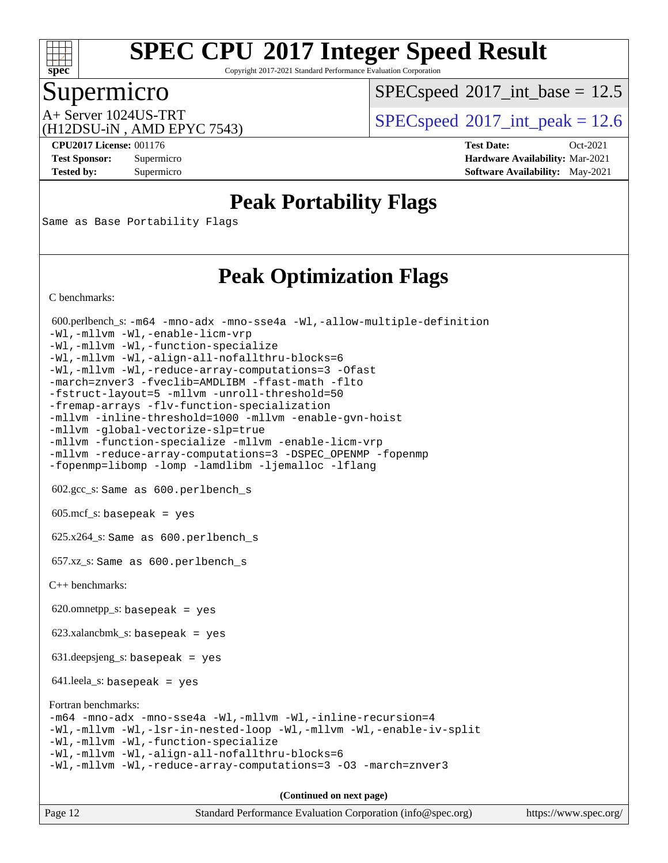

Copyright 2017-2021 Standard Performance Evaluation Corporation

### Supermicro

 $SPECspeed^{\circledcirc}2017\_int\_base = 12.5$  $SPECspeed^{\circledcirc}2017\_int\_base = 12.5$ 

(H12DSU-iN , AMD EPYC 7543)

A+ Server 1024US-TRT  $SPEC speed@2017$ \_int\_peak = 12.6

**[CPU2017 License:](http://www.spec.org/auto/cpu2017/Docs/result-fields.html#CPU2017License)** 001176 **[Test Date:](http://www.spec.org/auto/cpu2017/Docs/result-fields.html#TestDate)** Oct-2021 **[Test Sponsor:](http://www.spec.org/auto/cpu2017/Docs/result-fields.html#TestSponsor)** Supermicro **[Hardware Availability:](http://www.spec.org/auto/cpu2017/Docs/result-fields.html#HardwareAvailability)** Mar-2021 **[Tested by:](http://www.spec.org/auto/cpu2017/Docs/result-fields.html#Testedby)** Supermicro **[Software Availability:](http://www.spec.org/auto/cpu2017/Docs/result-fields.html#SoftwareAvailability)** May-2021

# **[Peak Portability Flags](http://www.spec.org/auto/cpu2017/Docs/result-fields.html#PeakPortabilityFlags)**

Same as Base Portability Flags

## **[Peak Optimization Flags](http://www.spec.org/auto/cpu2017/Docs/result-fields.html#PeakOptimizationFlags)**

[C benchmarks](http://www.spec.org/auto/cpu2017/Docs/result-fields.html#Cbenchmarks):

 600.perlbench\_s: [-m64](http://www.spec.org/cpu2017/results/res2021q4/cpu2017-20211109-30052.flags.html#user_peakCCLD600_perlbench_s_F-m64) [-mno-adx](http://www.spec.org/cpu2017/results/res2021q4/cpu2017-20211109-30052.flags.html#user_peakCC600_perlbench_s_F-mno-adx) [-mno-sse4a](http://www.spec.org/cpu2017/results/res2021q4/cpu2017-20211109-30052.flags.html#user_peakCC600_perlbench_s_F-mno-sse4a) [-Wl,-allow-multiple-definition](http://www.spec.org/cpu2017/results/res2021q4/cpu2017-20211109-30052.flags.html#user_peakLDCFLAGS600_perlbench_s_F-allow-multiple-definition_970930b9380f536892d286f43fe3aa60143711811517403e860b887d69527ebeb0ce7f1b66302f2a87b3cab7b5adae5fa57fa46168627b86a7718b21636cd604) [-Wl,-mllvm -Wl,-enable-licm-vrp](http://www.spec.org/cpu2017/results/res2021q4/cpu2017-20211109-30052.flags.html#user_peakLDCFLAGS600_perlbench_s_F-enable-licm-vrp_65c4fc69039207ec88421e1591ba3bbf2ac715c2f390cac268ece6f40ae7757bd65f971ef38c9b70aedd2bf37e4037d3d64a7fe88db6aed78b6f244274772259) [-Wl,-mllvm -Wl,-function-specialize](http://www.spec.org/cpu2017/results/res2021q4/cpu2017-20211109-30052.flags.html#user_peakEXTRA_LDFLAGS600_perlbench_s_F-function-specialize_7e7e661e57922243ee67c9a1251cb8910e607325179a0ce7f2884e09a6f5d4a5ef0ae4f37e8a2a11c95fc48e931f06dc2b6016f14b511fcb441e048bef1b065a) [-Wl,-mllvm -Wl,-align-all-nofallthru-blocks=6](http://www.spec.org/cpu2017/results/res2021q4/cpu2017-20211109-30052.flags.html#user_peakEXTRA_LDFLAGS600_perlbench_s_F-align-all-nofallthru-blocks) [-Wl,-mllvm -Wl,-reduce-array-computations=3](http://www.spec.org/cpu2017/results/res2021q4/cpu2017-20211109-30052.flags.html#user_peakEXTRA_LDFLAGS600_perlbench_s_F-reduce-array-computations_b882aefe7a5dda4e33149f6299762b9a720dace3e498e13756f4c04e5a19edf5315c1f3993de2e61ec41e8c206231f84e05da7040e1bb5d69ba27d10a12507e4) [-Ofast](http://www.spec.org/cpu2017/results/res2021q4/cpu2017-20211109-30052.flags.html#user_peakCOPTIMIZE600_perlbench_s_aocc-Ofast) [-march=znver3](http://www.spec.org/cpu2017/results/res2021q4/cpu2017-20211109-30052.flags.html#user_peakCOPTIMIZE600_perlbench_s_aocc-march) [-fveclib=AMDLIBM](http://www.spec.org/cpu2017/results/res2021q4/cpu2017-20211109-30052.flags.html#user_peakCOPTIMIZE600_perlbench_s_F-fveclib) [-ffast-math](http://www.spec.org/cpu2017/results/res2021q4/cpu2017-20211109-30052.flags.html#user_peakCOPTIMIZE600_perlbench_s_aocc-ffast-math) [-flto](http://www.spec.org/cpu2017/results/res2021q4/cpu2017-20211109-30052.flags.html#user_peakCOPTIMIZE600_perlbench_s_aocc-flto) [-fstruct-layout=5](http://www.spec.org/cpu2017/results/res2021q4/cpu2017-20211109-30052.flags.html#user_peakCOPTIMIZE600_perlbench_s_F-struct-layout) [-mllvm -unroll-threshold=50](http://www.spec.org/cpu2017/results/res2021q4/cpu2017-20211109-30052.flags.html#user_peakCOPTIMIZE600_perlbench_s_F-unroll-threshold_458874500b2c105d6d5cb4d7a611c40e2b16e9e3d26b355fea72d644c3673b4de4b3932662f0ed3dbec75c491a13da2d2ca81180bd779dc531083ef1e1e549dc) [-fremap-arrays](http://www.spec.org/cpu2017/results/res2021q4/cpu2017-20211109-30052.flags.html#user_peakCOPTIMIZE600_perlbench_s_F-fremap-arrays) [-flv-function-specialization](http://www.spec.org/cpu2017/results/res2021q4/cpu2017-20211109-30052.flags.html#user_peakCOPTIMIZE600_perlbench_s_F-flv-function-specialization) [-mllvm -inline-threshold=1000](http://www.spec.org/cpu2017/results/res2021q4/cpu2017-20211109-30052.flags.html#user_peakCOPTIMIZE600_perlbench_s_F-inline-threshold_b7832241b0a6397e4ecdbaf0eb7defdc10f885c2a282fa3240fdc99844d543fda39cf8a4a9dccf68cf19b5438ac3b455264f478df15da0f4988afa40d8243bab) [-mllvm -enable-gvn-hoist](http://www.spec.org/cpu2017/results/res2021q4/cpu2017-20211109-30052.flags.html#user_peakCOPTIMIZE600_perlbench_s_F-enable-gvn-hoist_e5856354646dd6ca1333a0ad99b817e4cf8932b91b82809fd8fd47ceff7b22a89eba5c98fd3e3fa5200368fd772cec3dd56abc3c8f7b655a71b9f9848dddedd5) [-mllvm -global-vectorize-slp=true](http://www.spec.org/cpu2017/results/res2021q4/cpu2017-20211109-30052.flags.html#user_peakCOPTIMIZE600_perlbench_s_F-global-vectorize-slp_f701c289ed3fc79483844cad3672606d268e3123d2651e764a36e57810b634b30ff7af25c43ce4288d0e4c1cc47ba156fce6ed971bc0d0e53c4c557f353d3dec) [-mllvm -function-specialize](http://www.spec.org/cpu2017/results/res2021q4/cpu2017-20211109-30052.flags.html#user_peakCOPTIMIZE600_perlbench_s_F-function-specialize_233b3bdba86027f1b094368157e481c5bc59f40286dc25bfadc1858dcd5745c24fd30d5f188710db7fea399bcc9f44a80b3ce3aacc70a8870250c3ae5e1f35b8) [-mllvm -enable-licm-vrp](http://www.spec.org/cpu2017/results/res2021q4/cpu2017-20211109-30052.flags.html#user_peakCOPTIMIZE600_perlbench_s_F-enable-licm-vrp_82fd83574dee81d8c8043a1355024a53ba7c23d449242d72368fd778ae4cd8625fb6c8e473e88c632367ccc13b0c321b9a13b8db897fcfc1592cf0205fd356b5) [-mllvm -reduce-array-computations=3](http://www.spec.org/cpu2017/results/res2021q4/cpu2017-20211109-30052.flags.html#user_peakCOPTIMIZE600_perlbench_s_F-reduce-array-computations) [-DSPEC\\_OPENMP](http://www.spec.org/cpu2017/results/res2021q4/cpu2017-20211109-30052.flags.html#suite_peakEXTRA_OPTIMIZE600_perlbench_s_DSPEC_OPENMP) [-fopenmp](http://www.spec.org/cpu2017/results/res2021q4/cpu2017-20211109-30052.flags.html#user_peakEXTRA_OPTIMIZE600_perlbench_s_aocc-fopenmp) [-fopenmp=libomp](http://www.spec.org/cpu2017/results/res2021q4/cpu2017-20211109-30052.flags.html#user_peakEXTRA_LIBS600_perlbench_s_aocc-fopenmp_3eb6ab80166bcc84161ff8c20c8d5bc344f88119f45620444596454f7d72e99b7a0ceefc2d1b4d190bd07306bbfdfc20f11f5a2dc69c9b03c72239f8406741c3) [-lomp](http://www.spec.org/cpu2017/results/res2021q4/cpu2017-20211109-30052.flags.html#user_peakEXTRA_LIBS600_perlbench_s_F-lomp) [-lamdlibm](http://www.spec.org/cpu2017/results/res2021q4/cpu2017-20211109-30052.flags.html#user_peakEXTRA_LIBS600_perlbench_s_F-lamdlibm) [-ljemalloc](http://www.spec.org/cpu2017/results/res2021q4/cpu2017-20211109-30052.flags.html#user_peakEXTRA_LIBS600_perlbench_s_jemalloc-lib) [-lflang](http://www.spec.org/cpu2017/results/res2021q4/cpu2017-20211109-30052.flags.html#user_peakEXTRA_LIBS600_perlbench_s_F-lflang) 602.gcc\_s: Same as 600.perlbench\_s 605.mcf\_s: basepeak = yes 625.x264\_s: Same as 600.perlbench\_s 657.xz\_s: Same as 600.perlbench\_s [C++ benchmarks:](http://www.spec.org/auto/cpu2017/Docs/result-fields.html#CXXbenchmarks) 620.omnetpp\_s: basepeak = yes 623.xalancbmk\_s: basepeak = yes 631.deepsjeng\_s: basepeak = yes 641.leela\_s: basepeak = yes [Fortran benchmarks](http://www.spec.org/auto/cpu2017/Docs/result-fields.html#Fortranbenchmarks): [-m64](http://www.spec.org/cpu2017/results/res2021q4/cpu2017-20211109-30052.flags.html#user_FCpeak_F-m64) [-mno-adx](http://www.spec.org/cpu2017/results/res2021q4/cpu2017-20211109-30052.flags.html#user_FCpeak_F-mno-adx) [-mno-sse4a](http://www.spec.org/cpu2017/results/res2021q4/cpu2017-20211109-30052.flags.html#user_FCpeak_F-mno-sse4a) [-Wl,-mllvm -Wl,-inline-recursion=4](http://www.spec.org/cpu2017/results/res2021q4/cpu2017-20211109-30052.flags.html#user_FCpeak_F-inline-recursion) [-Wl,-mllvm -Wl,-lsr-in-nested-loop](http://www.spec.org/cpu2017/results/res2021q4/cpu2017-20211109-30052.flags.html#user_FCpeak_F-lsr-in-nested-loop) [-Wl,-mllvm -Wl,-enable-iv-split](http://www.spec.org/cpu2017/results/res2021q4/cpu2017-20211109-30052.flags.html#user_FCpeak_F-enable-iv-split) [-Wl,-mllvm -Wl,-function-specialize](http://www.spec.org/cpu2017/results/res2021q4/cpu2017-20211109-30052.flags.html#user_FCpeak_F-function-specialize_7e7e661e57922243ee67c9a1251cb8910e607325179a0ce7f2884e09a6f5d4a5ef0ae4f37e8a2a11c95fc48e931f06dc2b6016f14b511fcb441e048bef1b065a) [-Wl,-mllvm -Wl,-align-all-nofallthru-blocks=6](http://www.spec.org/cpu2017/results/res2021q4/cpu2017-20211109-30052.flags.html#user_FCpeak_F-align-all-nofallthru-blocks) [-Wl,-mllvm -Wl,-reduce-array-computations=3](http://www.spec.org/cpu2017/results/res2021q4/cpu2017-20211109-30052.flags.html#user_FCpeak_F-reduce-array-computations_b882aefe7a5dda4e33149f6299762b9a720dace3e498e13756f4c04e5a19edf5315c1f3993de2e61ec41e8c206231f84e05da7040e1bb5d69ba27d10a12507e4) [-O3](http://www.spec.org/cpu2017/results/res2021q4/cpu2017-20211109-30052.flags.html#user_FCpeak_F-O3) [-march=znver3](http://www.spec.org/cpu2017/results/res2021q4/cpu2017-20211109-30052.flags.html#user_FCpeak_aocc-march) **(Continued on next page)**

| Page 12 | Standard Performance Evaluation Corporation (info@spec.org) | https://www.spec.org/ |
|---------|-------------------------------------------------------------|-----------------------|
|         |                                                             |                       |